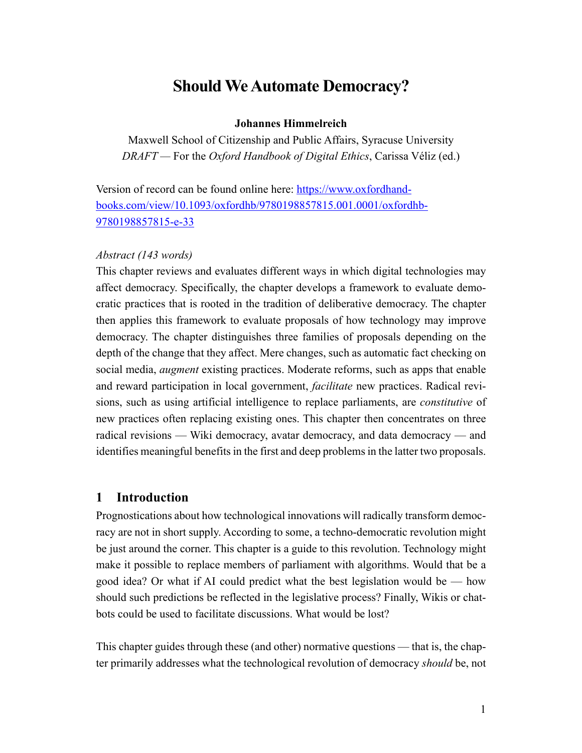# **Should We Automate Democracy?**

#### **Johannes Himmelreich**

Maxwell School of Citizenship and Public Affairs, Syracuse University *DRAFT —* For the *Oxford Handbook of Digital Ethics*, Carissa Véliz (ed.)

Version of record can be found online here: https://www.oxfordhandbooks.com/view/10.1093/oxfordhb/9780198857815.001.0001/oxfordhb-9780198857815-e-33

#### *Abstract (143 words)*

This chapter reviews and evaluates different ways in which digital technologies may affect democracy. Specifically, the chapter develops a framework to evaluate democratic practices that is rooted in the tradition of deliberative democracy. The chapter then applies this framework to evaluate proposals of how technology may improve democracy. The chapter distinguishes three families of proposals depending on the depth of the change that they affect. Mere changes, such as automatic fact checking on social media, *augment* existing practices. Moderate reforms, such as apps that enable and reward participation in local government, *facilitate* new practices. Radical revisions, such as using artificial intelligence to replace parliaments, are *constitutive* of new practices often replacing existing ones. This chapter then concentrates on three radical revisions — Wiki democracy, avatar democracy, and data democracy — and identifies meaningful benefits in the first and deep problems in the latter two proposals.

### **1 Introduction**

Prognostications about how technological innovations will radically transform democracy are not in short supply. According to some, a techno-democratic revolution might be just around the corner. This chapter is a guide to this revolution. Technology might make it possible to replace members of parliament with algorithms. Would that be a good idea? Or what if AI could predict what the best legislation would be — how should such predictions be reflected in the legislative process? Finally, Wikis or chatbots could be used to facilitate discussions. What would be lost?

This chapter guides through these (and other) normative questions — that is, the chapter primarily addresses what the technological revolution of democracy *should* be, not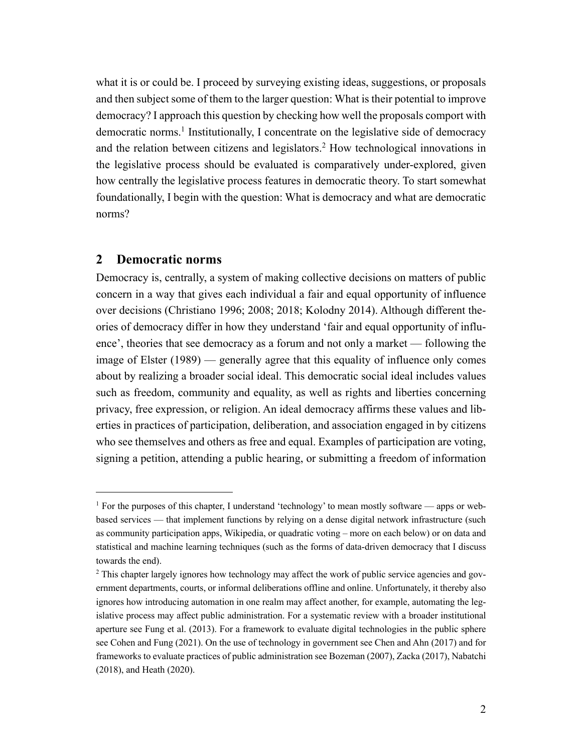what it is or could be. I proceed by surveying existing ideas, suggestions, or proposals and then subject some of them to the larger question: What is their potential to improve democracy? I approach this question by checking how well the proposals comport with democratic norms. <sup>1</sup> Institutionally, I concentrate on the legislative side of democracy and the relation between citizens and legislators. <sup>2</sup> How technological innovations in the legislative process should be evaluated is comparatively under-explored, given how centrally the legislative process features in democratic theory. To start somewhat foundationally, I begin with the question: What is democracy and what are democratic norms?

## **2 Democratic norms**

Democracy is, centrally, a system of making collective decisions on matters of public concern in a way that gives each individual a fair and equal opportunity of influence over decisions (Christiano 1996; 2008; 2018; Kolodny 2014). Although different theories of democracy differ in how they understand 'fair and equal opportunity of influence', theories that see democracy as a forum and not only a market — following the image of Elster (1989) — generally agree that this equality of influence only comes about by realizing a broader social ideal. This democratic social ideal includes values such as freedom, community and equality, as well as rights and liberties concerning privacy, free expression, or religion. An ideal democracy affirms these values and liberties in practices of participation, deliberation, and association engaged in by citizens who see themselves and others as free and equal. Examples of participation are voting, signing a petition, attending a public hearing, or submitting a freedom of information

<sup>&</sup>lt;sup>1</sup> For the purposes of this chapter, I understand 'technology' to mean mostly software — apps or webbased services — that implement functions by relying on a dense digital network infrastructure (such as community participation apps, Wikipedia, or quadratic voting – more on each below) or on data and statistical and machine learning techniques (such as the forms of data-driven democracy that I discuss towards the end).

<sup>&</sup>lt;sup>2</sup> This chapter largely ignores how technology may affect the work of public service agencies and government departments, courts, or informal deliberations offline and online. Unfortunately, it thereby also ignores how introducing automation in one realm may affect another, for example, automating the legislative process may affect public administration. For a systematic review with a broader institutional aperture see Fung et al. (2013). For a framework to evaluate digital technologies in the public sphere see Cohen and Fung (2021). On the use of technology in government see Chen and Ahn (2017) and for frameworks to evaluate practices of public administration see Bozeman (2007), Zacka (2017), Nabatchi (2018), and Heath (2020).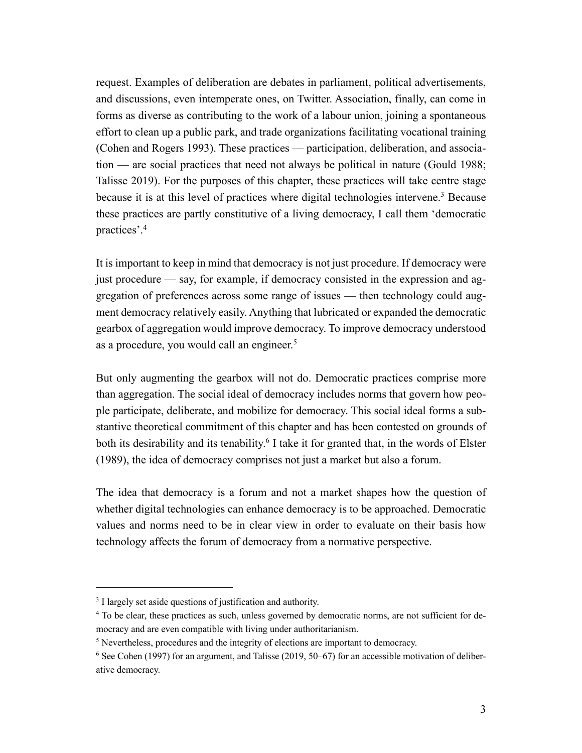request. Examples of deliberation are debates in parliament, political advertisements, and discussions, even intemperate ones, on Twitter. Association, finally, can come in forms as diverse as contributing to the work of a labour union, joining a spontaneous effort to clean up a public park, and trade organizations facilitating vocational training (Cohen and Rogers 1993). These practices — participation, deliberation, and association — are social practices that need not always be political in nature (Gould 1988; Talisse 2019). For the purposes of this chapter, these practices will take centre stage because it is at this level of practices where digital technologies intervene.<sup>3</sup> Because these practices are partly constitutive of a living democracy, I call them 'democratic practices'.4

It is important to keep in mind that democracy is not just procedure. If democracy were just procedure — say, for example, if democracy consisted in the expression and aggregation of preferences across some range of issues — then technology could augment democracy relatively easily. Anything that lubricated or expanded the democratic gearbox of aggregation would improve democracy. To improve democracy understood as a procedure, you would call an engineer.<sup>5</sup>

But only augmenting the gearbox will not do. Democratic practices comprise more than aggregation. The social ideal of democracy includes norms that govern how people participate, deliberate, and mobilize for democracy. This social ideal forms a substantive theoretical commitment of this chapter and has been contested on grounds of both its desirability and its tenability.<sup>6</sup> I take it for granted that, in the words of Elster (1989), the idea of democracy comprises not just a market but also a forum.

The idea that democracy is a forum and not a market shapes how the question of whether digital technologies can enhance democracy is to be approached. Democratic values and norms need to be in clear view in order to evaluate on their basis how technology affects the forum of democracy from a normative perspective.

<sup>&</sup>lt;sup>3</sup> I largely set aside questions of justification and authority.

<sup>4</sup> To be clear, these practices as such, unless governed by democratic norms, are not sufficient for democracy and are even compatible with living under authoritarianism.

<sup>5</sup> Nevertheless, procedures and the integrity of elections are important to democracy.

 $6$  See Cohen (1997) for an argument, and Talisse (2019, 50–67) for an accessible motivation of deliberative democracy.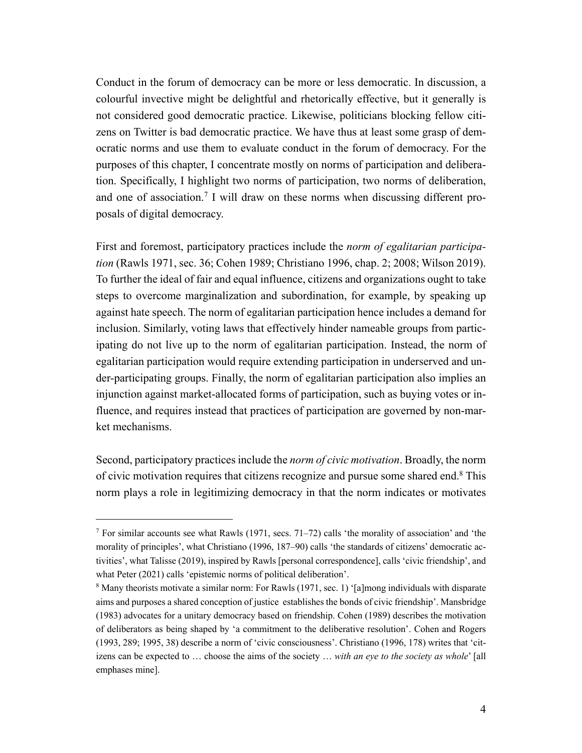Conduct in the forum of democracy can be more or less democratic. In discussion, a colourful invective might be delightful and rhetorically effective, but it generally is not considered good democratic practice. Likewise, politicians blocking fellow citizens on Twitter is bad democratic practice. We have thus at least some grasp of democratic norms and use them to evaluate conduct in the forum of democracy. For the purposes of this chapter, I concentrate mostly on norms of participation and deliberation. Specifically, I highlight two norms of participation, two norms of deliberation, and one of association. <sup>7</sup> I will draw on these norms when discussing different proposals of digital democracy.

First and foremost, participatory practices include the *norm of egalitarian participation* (Rawls 1971, sec. 36; Cohen 1989; Christiano 1996, chap. 2; 2008; Wilson 2019). To further the ideal of fair and equal influence, citizens and organizations ought to take steps to overcome marginalization and subordination, for example, by speaking up against hate speech. The norm of egalitarian participation hence includes a demand for inclusion. Similarly, voting laws that effectively hinder nameable groups from participating do not live up to the norm of egalitarian participation. Instead, the norm of egalitarian participation would require extending participation in underserved and under-participating groups. Finally, the norm of egalitarian participation also implies an injunction against market-allocated forms of participation, such as buying votes or influence, and requires instead that practices of participation are governed by non-market mechanisms.

Second, participatory practices include the *norm of civic motivation*. Broadly, the norm of civic motivation requires that citizens recognize and pursue some shared end.<sup>8</sup> This norm plays a role in legitimizing democracy in that the norm indicates or motivates

<sup>&</sup>lt;sup>7</sup> For similar accounts see what Rawls (1971, secs.  $71-72$ ) calls 'the morality of association' and 'the morality of principles', what Christiano (1996, 187–90) calls 'the standards of citizens' democratic activities', what Talisse (2019), inspired by Rawls [personal correspondence], calls 'civic friendship', and what Peter (2021) calls 'epistemic norms of political deliberation'.

<sup>&</sup>lt;sup>8</sup> Many theorists motivate a similar norm: For Rawls (1971, sec. 1) '[a]mong individuals with disparate aims and purposes a shared conception of justice establishes the bonds of civic friendship'. Mansbridge (1983) advocates for a unitary democracy based on friendship. Cohen (1989) describes the motivation of deliberators as being shaped by 'a commitment to the deliberative resolution'. Cohen and Rogers (1993, 289; 1995, 38) describe a norm of 'civic consciousness'. Christiano (1996, 178) writes that 'citizens can be expected to … choose the aims of the society … *with an eye to the society as whole*' [all emphases mine].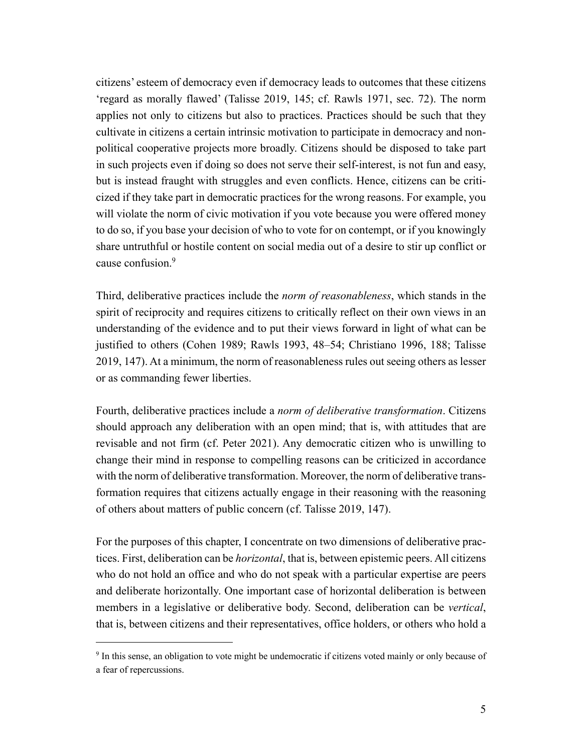citizens' esteem of democracy even if democracy leads to outcomes that these citizens 'regard as morally flawed' (Talisse 2019, 145; cf. Rawls 1971, sec. 72). The norm applies not only to citizens but also to practices. Practices should be such that they cultivate in citizens a certain intrinsic motivation to participate in democracy and nonpolitical cooperative projects more broadly. Citizens should be disposed to take part in such projects even if doing so does not serve their self-interest, is not fun and easy, but is instead fraught with struggles and even conflicts. Hence, citizens can be criticized if they take part in democratic practices for the wrong reasons. For example, you will violate the norm of civic motivation if you vote because you were offered money to do so, if you base your decision of who to vote for on contempt, or if you knowingly share untruthful or hostile content on social media out of a desire to stir up conflict or cause confusion. 9

Third, deliberative practices include the *norm of reasonableness*, which stands in the spirit of reciprocity and requires citizens to critically reflect on their own views in an understanding of the evidence and to put their views forward in light of what can be justified to others (Cohen 1989; Rawls 1993, 48–54; Christiano 1996, 188; Talisse 2019, 147). At a minimum, the norm of reasonableness rules out seeing others as lesser or as commanding fewer liberties.

Fourth, deliberative practices include a *norm of deliberative transformation*. Citizens should approach any deliberation with an open mind; that is, with attitudes that are revisable and not firm (cf. Peter 2021). Any democratic citizen who is unwilling to change their mind in response to compelling reasons can be criticized in accordance with the norm of deliberative transformation. Moreover, the norm of deliberative transformation requires that citizens actually engage in their reasoning with the reasoning of others about matters of public concern (cf. Talisse 2019, 147).

For the purposes of this chapter, I concentrate on two dimensions of deliberative practices. First, deliberation can be *horizontal*, that is, between epistemic peers. All citizens who do not hold an office and who do not speak with a particular expertise are peers and deliberate horizontally. One important case of horizontal deliberation is between members in a legislative or deliberative body. Second, deliberation can be *vertical*, that is, between citizens and their representatives, office holders, or others who hold a

<sup>9</sup> In this sense, an obligation to vote might be undemocratic if citizens voted mainly or only because of a fear of repercussions.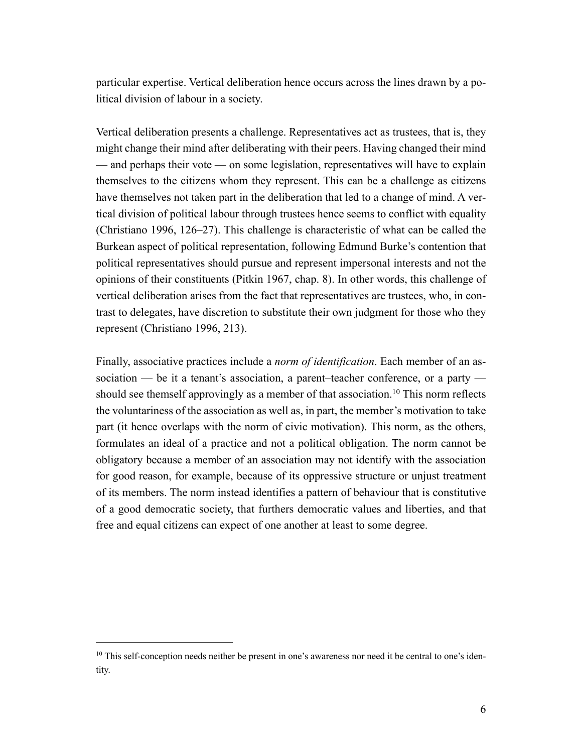particular expertise. Vertical deliberation hence occurs across the lines drawn by a political division of labour in a society.

Vertical deliberation presents a challenge. Representatives act as trustees, that is, they might change their mind after deliberating with their peers. Having changed their mind — and perhaps their vote — on some legislation, representatives will have to explain themselves to the citizens whom they represent. This can be a challenge as citizens have themselves not taken part in the deliberation that led to a change of mind. A vertical division of political labour through trustees hence seems to conflict with equality (Christiano 1996, 126–27). This challenge is characteristic of what can be called the Burkean aspect of political representation, following Edmund Burke's contention that political representatives should pursue and represent impersonal interests and not the opinions of their constituents (Pitkin 1967, chap. 8). In other words, this challenge of vertical deliberation arises from the fact that representatives are trustees, who, in contrast to delegates, have discretion to substitute their own judgment for those who they represent (Christiano 1996, 213).

Finally, associative practices include a *norm of identification*. Each member of an association — be it a tenant's association, a parent–teacher conference, or a party should see themself approvingly as a member of that association.<sup>10</sup> This norm reflects the voluntariness of the association as well as, in part, the member's motivation to take part (it hence overlaps with the norm of civic motivation). This norm, as the others, formulates an ideal of a practice and not a political obligation. The norm cannot be obligatory because a member of an association may not identify with the association for good reason, for example, because of its oppressive structure or unjust treatment of its members. The norm instead identifies a pattern of behaviour that is constitutive of a good democratic society, that furthers democratic values and liberties, and that free and equal citizens can expect of one another at least to some degree.

 $10$  This self-conception needs neither be present in one's awareness nor need it be central to one's identity.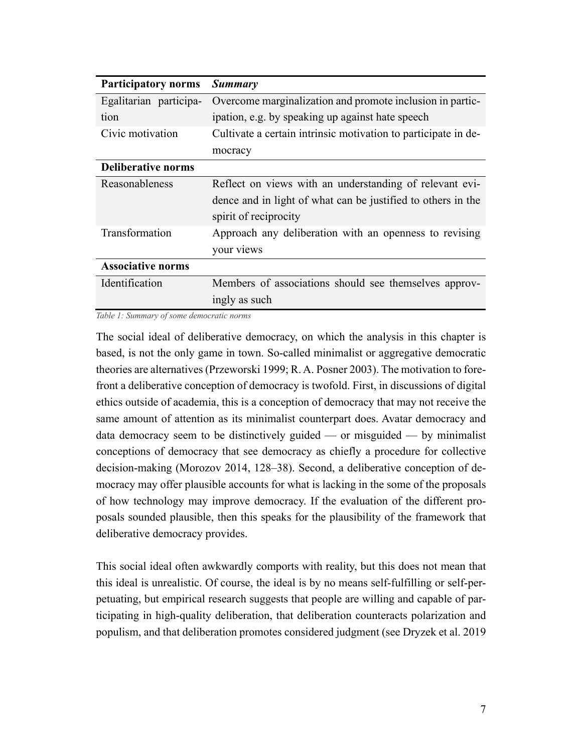| <b>Participatory norms</b> | <b>Summary</b>                                                 |  |  |  |
|----------------------------|----------------------------------------------------------------|--|--|--|
| Egalitarian participa-     | Overcome marginalization and promote inclusion in partic-      |  |  |  |
| tion                       | ipation, e.g. by speaking up against hate speech               |  |  |  |
| Civic motivation           | Cultivate a certain intrinsic motivation to participate in de- |  |  |  |
|                            | mocracy                                                        |  |  |  |
| <b>Deliberative norms</b>  |                                                                |  |  |  |
| Reasonableness             | Reflect on views with an understanding of relevant evi-        |  |  |  |
|                            | dence and in light of what can be justified to others in the   |  |  |  |
|                            | spirit of reciprocity                                          |  |  |  |
| Transformation             | Approach any deliberation with an openness to revising         |  |  |  |
|                            | your views                                                     |  |  |  |
| <b>Associative norms</b>   |                                                                |  |  |  |
| Identification             | Members of associations should see themselves approv-          |  |  |  |
|                            | ingly as such                                                  |  |  |  |

*Table 1: Summary of some democratic norms*

The social ideal of deliberative democracy, on which the analysis in this chapter is based, is not the only game in town. So-called minimalist or aggregative democratic theories are alternatives (Przeworski 1999; R. A. Posner 2003). The motivation to forefront a deliberative conception of democracy is twofold. First, in discussions of digital ethics outside of academia, this is a conception of democracy that may not receive the same amount of attention as its minimalist counterpart does. Avatar democracy and data democracy seem to be distinctively guided — or misguided — by minimalist conceptions of democracy that see democracy as chiefly a procedure for collective decision-making (Morozov 2014, 128–38). Second, a deliberative conception of democracy may offer plausible accounts for what is lacking in the some of the proposals of how technology may improve democracy. If the evaluation of the different proposals sounded plausible, then this speaks for the plausibility of the framework that deliberative democracy provides.

This social ideal often awkwardly comports with reality, but this does not mean that this ideal is unrealistic. Of course, the ideal is by no means self-fulfilling or self-perpetuating, but empirical research suggests that people are willing and capable of participating in high-quality deliberation, that deliberation counteracts polarization and populism, and that deliberation promotes considered judgment (see Dryzek et al. 2019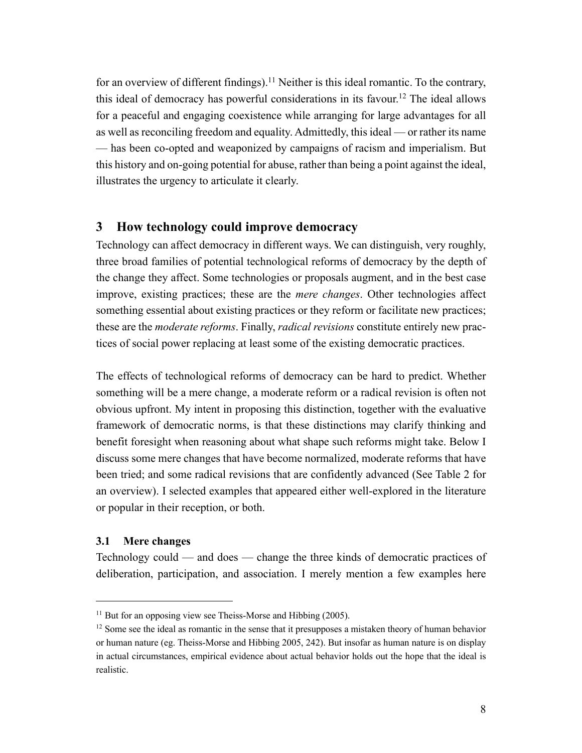for an overview of different findings).<sup>11</sup> Neither is this ideal romantic. To the contrary, this ideal of democracy has powerful considerations in its favour. <sup>12</sup> The ideal allows for a peaceful and engaging coexistence while arranging for large advantages for all as well as reconciling freedom and equality. Admittedly, this ideal — or rather its name — has been co-opted and weaponized by campaigns of racism and imperialism. But this history and on-going potential for abuse, rather than being a point against the ideal, illustrates the urgency to articulate it clearly.

## **3 How technology could improve democracy**

Technology can affect democracy in different ways. We can distinguish, very roughly, three broad families of potential technological reforms of democracy by the depth of the change they affect. Some technologies or proposals augment, and in the best case improve, existing practices; these are the *mere changes*. Other technologies affect something essential about existing practices or they reform or facilitate new practices; these are the *moderate reforms*. Finally, *radical revisions* constitute entirely new practices of social power replacing at least some of the existing democratic practices.

The effects of technological reforms of democracy can be hard to predict. Whether something will be a mere change, a moderate reform or a radical revision is often not obvious upfront. My intent in proposing this distinction, together with the evaluative framework of democratic norms, is that these distinctions may clarify thinking and benefit foresight when reasoning about what shape such reforms might take. Below I discuss some mere changes that have become normalized, moderate reforms that have been tried; and some radical revisions that are confidently advanced (See Table 2 for an overview). I selected examples that appeared either well-explored in the literature or popular in their reception, or both.

### **3.1 Mere changes**

Technology could — and does — change the three kinds of democratic practices of deliberation, participation, and association. I merely mention a few examples here

 $11$  But for an opposing view see Theiss-Morse and Hibbing (2005).

 $12$  Some see the ideal as romantic in the sense that it presupposes a mistaken theory of human behavior or human nature (eg. Theiss-Morse and Hibbing 2005, 242). But insofar as human nature is on display in actual circumstances, empirical evidence about actual behavior holds out the hope that the ideal is realistic.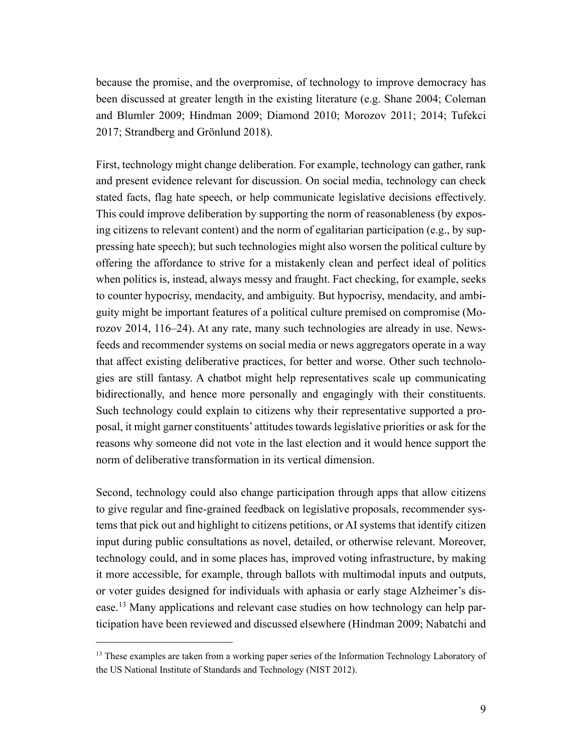because the promise, and the overpromise, of technology to improve democracy has been discussed at greater length in the existing literature (e.g. Shane 2004; Coleman and Blumler 2009; Hindman 2009; Diamond 2010; Morozov 2011; 2014; Tufekci 2017; Strandberg and Grönlund 2018).

First, technology might change deliberation. For example, technology can gather, rank and present evidence relevant for discussion. On social media, technology can check stated facts, flag hate speech, or help communicate legislative decisions effectively. This could improve deliberation by supporting the norm of reasonableness (by exposing citizens to relevant content) and the norm of egalitarian participation (e.g., by suppressing hate speech); but such technologies might also worsen the political culture by offering the affordance to strive for a mistakenly clean and perfect ideal of politics when politics is, instead, always messy and fraught. Fact checking, for example, seeks to counter hypocrisy, mendacity, and ambiguity. But hypocrisy, mendacity, and ambiguity might be important features of a political culture premised on compromise (Morozov 2014, 116–24). At any rate, many such technologies are already in use. Newsfeeds and recommender systems on social media or news aggregators operate in a way that affect existing deliberative practices, for better and worse. Other such technologies are still fantasy. A chatbot might help representatives scale up communicating bidirectionally, and hence more personally and engagingly with their constituents. Such technology could explain to citizens why their representative supported a proposal, it might garner constituents' attitudes towards legislative priorities or ask for the reasons why someone did not vote in the last election and it would hence support the norm of deliberative transformation in its vertical dimension.

Second, technology could also change participation through apps that allow citizens to give regular and fine-grained feedback on legislative proposals, recommender systems that pick out and highlight to citizens petitions, or AI systems that identify citizen input during public consultations as novel, detailed, or otherwise relevant. Moreover, technology could, and in some places has, improved voting infrastructure, by making it more accessible, for example, through ballots with multimodal inputs and outputs, or voter guides designed for individuals with aphasia or early stage Alzheimer's disease.<sup>13</sup> Many applications and relevant case studies on how technology can help participation have been reviewed and discussed elsewhere (Hindman 2009; Nabatchi and

<sup>&</sup>lt;sup>13</sup> These examples are taken from a working paper series of the Information Technology Laboratory of the US National Institute of Standards and Technology (NIST 2012).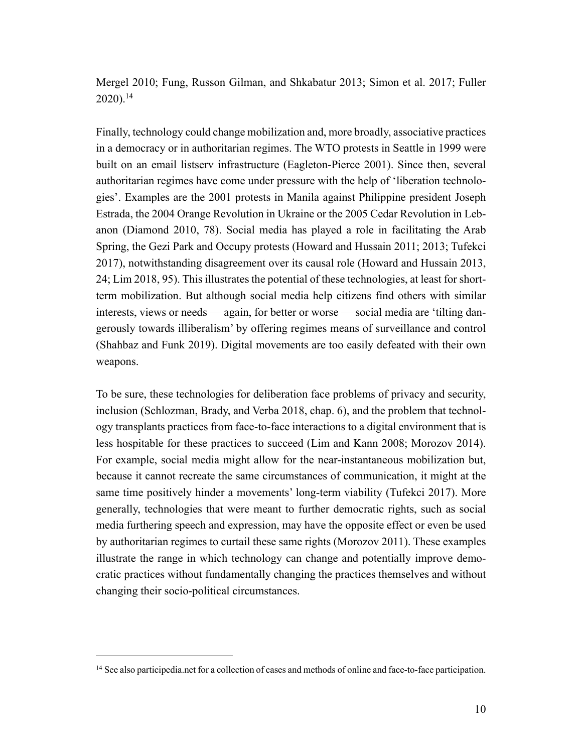Mergel 2010; Fung, Russon Gilman, and Shkabatur 2013; Simon et al. 2017; Fuller 2020). 14

Finally, technology could change mobilization and, more broadly, associative practices in a democracy or in authoritarian regimes. The WTO protests in Seattle in 1999 were built on an email listserv infrastructure (Eagleton-Pierce 2001). Since then, several authoritarian regimes have come under pressure with the help of 'liberation technologies'. Examples are the 2001 protests in Manila against Philippine president Joseph Estrada, the 2004 Orange Revolution in Ukraine or the 2005 Cedar Revolution in Lebanon (Diamond 2010, 78). Social media has played a role in facilitating the Arab Spring, the Gezi Park and Occupy protests (Howard and Hussain 2011; 2013; Tufekci 2017), notwithstanding disagreement over its causal role (Howard and Hussain 2013, 24; Lim 2018, 95). This illustrates the potential of these technologies, at least for shortterm mobilization. But although social media help citizens find others with similar interests, views or needs — again, for better or worse — social media are 'tilting dangerously towards illiberalism' by offering regimes means of surveillance and control (Shahbaz and Funk 2019). Digital movements are too easily defeated with their own weapons.

To be sure, these technologies for deliberation face problems of privacy and security, inclusion (Schlozman, Brady, and Verba 2018, chap. 6), and the problem that technology transplants practices from face-to-face interactions to a digital environment that is less hospitable for these practices to succeed (Lim and Kann 2008; Morozov 2014). For example, social media might allow for the near-instantaneous mobilization but, because it cannot recreate the same circumstances of communication, it might at the same time positively hinder a movements' long-term viability (Tufekci 2017). More generally, technologies that were meant to further democratic rights, such as social media furthering speech and expression, may have the opposite effect or even be used by authoritarian regimes to curtail these same rights (Morozov 2011). These examples illustrate the range in which technology can change and potentially improve democratic practices without fundamentally changing the practices themselves and without changing their socio-political circumstances.

<sup>&</sup>lt;sup>14</sup> See also participedia.net for a collection of cases and methods of online and face-to-face participation.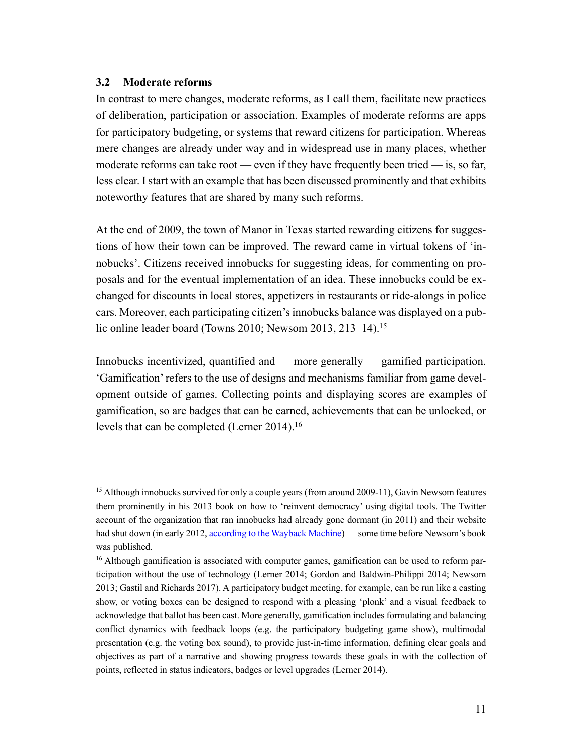#### **3.2 Moderate reforms**

In contrast to mere changes, moderate reforms, as I call them, facilitate new practices of deliberation, participation or association. Examples of moderate reforms are apps for participatory budgeting, or systems that reward citizens for participation. Whereas mere changes are already under way and in widespread use in many places, whether moderate reforms can take root — even if they have frequently been tried — is, so far, less clear. I start with an example that has been discussed prominently and that exhibits noteworthy features that are shared by many such reforms.

At the end of 2009, the town of Manor in Texas started rewarding citizens for suggestions of how their town can be improved. The reward came in virtual tokens of 'innobucks'. Citizens received innobucks for suggesting ideas, for commenting on proposals and for the eventual implementation of an idea. These innobucks could be exchanged for discounts in local stores, appetizers in restaurants or ride-alongs in police cars. Moreover, each participating citizen's innobucks balance was displayed on a public online leader board (Towns 2010; Newsom 2013, 213-14).<sup>15</sup>

Innobucks incentivized, quantified and — more generally — gamified participation. 'Gamification'refers to the use of designs and mechanisms familiar from game development outside of games. Collecting points and displaying scores are examples of gamification, so are badges that can be earned, achievements that can be unlocked, or levels that can be completed (Lerner 2014). 16

<sup>&</sup>lt;sup>15</sup> Although innobucks survived for only a couple years (from around 2009-11), Gavin Newsom features them prominently in his 2013 book on how to 'reinvent democracy' using digital tools. The Twitter account of the organization that ran innobucks had already gone dormant (in 2011) and their website had shut down (in early 2012, according to the Wayback Machine) — some time before Newsom's book was published.

<sup>&</sup>lt;sup>16</sup> Although gamification is associated with computer games, gamification can be used to reform participation without the use of technology (Lerner 2014; Gordon and Baldwin-Philippi 2014; Newsom 2013; Gastil and Richards 2017). A participatory budget meeting, for example, can be run like a casting show, or voting boxes can be designed to respond with a pleasing 'plonk' and a visual feedback to acknowledge that ballot has been cast. More generally, gamification includes formulating and balancing conflict dynamics with feedback loops (e.g. the participatory budgeting game show), multimodal presentation (e.g. the voting box sound), to provide just-in-time information, defining clear goals and objectives as part of a narrative and showing progress towards these goals in with the collection of points, reflected in status indicators, badges or level upgrades (Lerner 2014).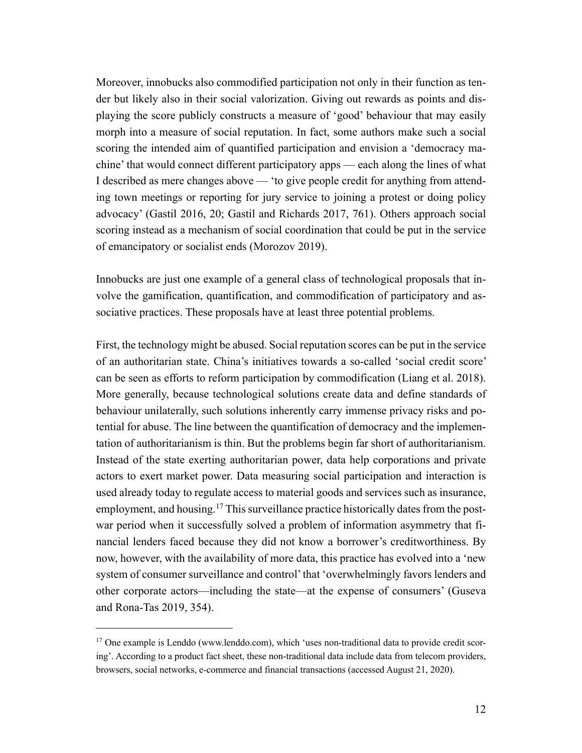Moreover, innobucks also commodified participation not only in their function as tender but likely also in their social valorization. Giving out rewards as points and displaying the score publicly constructs a measure of 'good' behaviour that may easily morph into a measure of social reputation. In fact, some authors make such a social scoring the intended aim of quantified participation and envision a 'democracy machine' that would connect different participatory apps — each along the lines of what I described as mere changes above — 'to give people credit for anything from attending town meetings or reporting for jury service to joining a protest or doing policy advocacy' (Gastil 2016, 20; Gastil and Richards 2017, 761). Others approach social scoring instead as a mechanism of social coordination that could be put in the service of emancipatory or socialist ends (Morozov 2019).

Innobucks are just one example of a general class of technological proposals that involve the gamification, quantification, and commodification of participatory and associative practices. These proposals have at least three potential problems.

First, the technology might be abused. Social reputation scores can be put in the service of an authoritarian state. China's initiatives towards a so-called 'social credit score' can be seen as efforts to reform participation by commodification (Liang et al. 2018). More generally, because technological solutions create data and define standards of behaviour unilaterally, such solutions inherently carry immense privacy risks and potential for abuse. The line between the quantification of democracy and the implementation of authoritarianism is thin. But the problems begin far short of authoritarianism. Instead of the state exerting authoritarian power, data help corporations and private actors to exert market power. Data measuring social participation and interaction is used already today to regulate access to material goods and services such as insurance, employment, and housing.<sup>17</sup> This surveillance practice historically dates from the postwar period when it successfully solved a problem of information asymmetry that financial lenders faced because they did not know a borrower's creditworthiness. By now, however, with the availability of more data, this practice has evolved into a 'new system of consumer surveillance and control' that 'overwhelmingly favors lenders and other corporate actors—including the state—at the expense of consumers' (Guseva and Rona-Tas 2019, 354).

<sup>&</sup>lt;sup>17</sup> One example is Lenddo (www.lenddo.com), which 'uses non-traditional data to provide credit scoring'. According to a product fact sheet, these non-traditional data include data from telecom providers, browsers, social networks, e-commerce and financial transactions (accessed August 21, 2020).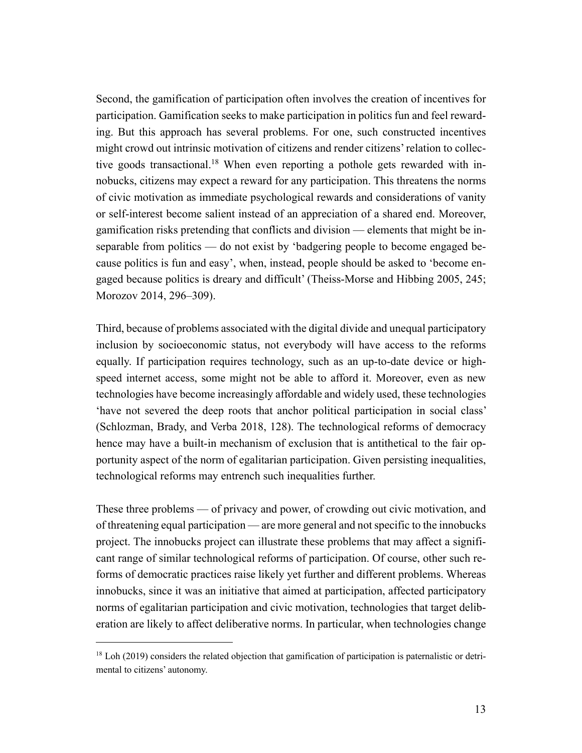Second, the gamification of participation often involves the creation of incentives for participation. Gamification seeks to make participation in politics fun and feel rewarding. But this approach has several problems. For one, such constructed incentives might crowd out intrinsic motivation of citizens and render citizens'relation to collective goods transactional. <sup>18</sup> When even reporting a pothole gets rewarded with innobucks, citizens may expect a reward for any participation. This threatens the norms of civic motivation as immediate psychological rewards and considerations of vanity or self-interest become salient instead of an appreciation of a shared end. Moreover, gamification risks pretending that conflicts and division — elements that might be inseparable from politics — do not exist by 'badgering people to become engaged because politics is fun and easy', when, instead, people should be asked to 'become engaged because politics is dreary and difficult' (Theiss-Morse and Hibbing 2005, 245; Morozov 2014, 296–309).

Third, because of problems associated with the digital divide and unequal participatory inclusion by socioeconomic status, not everybody will have access to the reforms equally. If participation requires technology, such as an up-to-date device or highspeed internet access, some might not be able to afford it. Moreover, even as new technologies have become increasingly affordable and widely used, these technologies 'have not severed the deep roots that anchor political participation in social class' (Schlozman, Brady, and Verba 2018, 128). The technological reforms of democracy hence may have a built-in mechanism of exclusion that is antithetical to the fair opportunity aspect of the norm of egalitarian participation. Given persisting inequalities, technological reforms may entrench such inequalities further.

These three problems — of privacy and power, of crowding out civic motivation, and of threatening equal participation — are more general and notspecific to the innobucks project. The innobucks project can illustrate these problems that may affect a significant range of similar technological reforms of participation. Of course, other such reforms of democratic practices raise likely yet further and different problems. Whereas innobucks, since it was an initiative that aimed at participation, affected participatory norms of egalitarian participation and civic motivation, technologies that target deliberation are likely to affect deliberative norms. In particular, when technologies change

<sup>&</sup>lt;sup>18</sup> Loh (2019) considers the related objection that gamification of participation is paternalistic or detrimental to citizens' autonomy.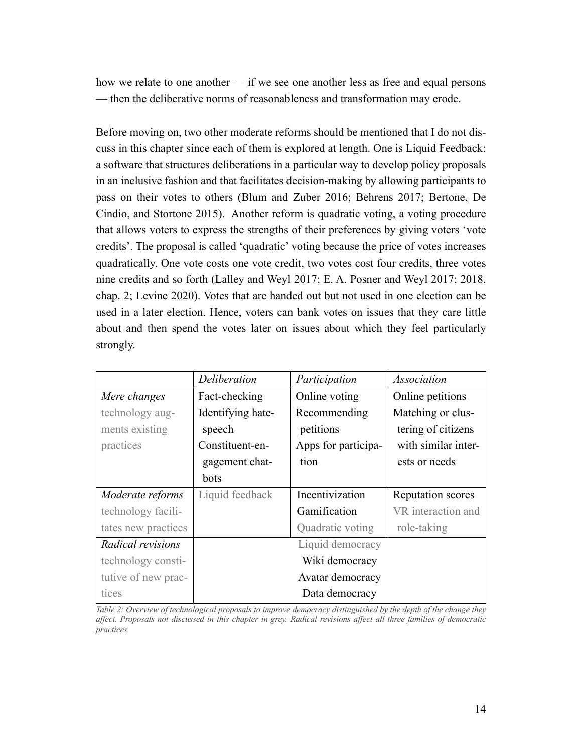how we relate to one another — if we see one another less as free and equal persons — then the deliberative norms of reasonableness and transformation may erode.

Before moving on, two other moderate reforms should be mentioned that I do not discuss in this chapter since each of them is explored at length. One is Liquid Feedback: a software that structures deliberations in a particular way to develop policy proposals in an inclusive fashion and that facilitates decision-making by allowing participants to pass on their votes to others (Blum and Zuber 2016; Behrens 2017; Bertone, De Cindio, and Stortone 2015). Another reform is quadratic voting, a voting procedure that allows voters to express the strengths of their preferences by giving voters 'vote credits'. The proposal is called 'quadratic' voting because the price of votes increases quadratically. One vote costs one vote credit, two votes cost four credits, three votes nine credits and so forth (Lalley and Weyl 2017; E. A. Posner and Weyl 2017; 2018, chap. 2; Levine 2020). Votes that are handed out but not used in one election can be used in a later election. Hence, voters can bank votes on issues that they care little about and then spend the votes later on issues about which they feel particularly strongly.

|                     | Deliberation           | Participation       | <b>Association</b>  |  |
|---------------------|------------------------|---------------------|---------------------|--|
| Mere changes        | Fact-checking          | Online voting       | Online petitions    |  |
| technology aug-     | Identifying hate-      | Recommending        |                     |  |
| ments existing      | petitions<br>speech    |                     | tering of citizens  |  |
| practices           | Constituent-en-        | Apps for participa- | with similar inter- |  |
|                     | gagement chat-<br>tion |                     | ests or needs       |  |
|                     | bots                   |                     |                     |  |
| Moderate reforms    | Liquid feedback        | Incentivization     | Reputation scores   |  |
| technology facili-  | Gamification           |                     | VR interaction and  |  |
| tates new practices |                        | Quadratic voting    | role-taking         |  |
| Radical revisions   | Liquid democracy       |                     |                     |  |
| technology consti-  | Wiki democracy         |                     |                     |  |
| tutive of new prac- | Avatar democracy       |                     |                     |  |
| tices               | Data democracy         |                     |                     |  |

*Table 2: Overview of technological proposals to improve democracy distinguished by the depth of the change they affect. Proposals not discussed in this chapter in grey. Radical revisions affect all three families of democratic practices.*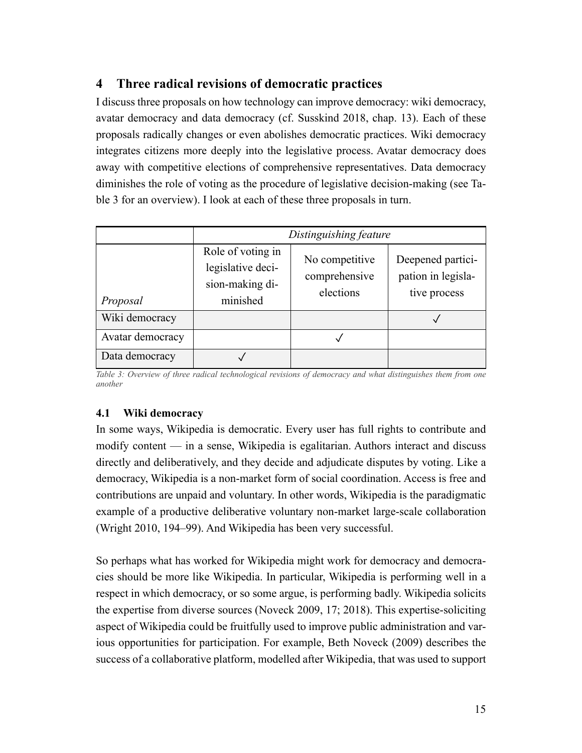## **4 Three radical revisions of democratic practices**

I discuss three proposals on how technology can improve democracy: wiki democracy, avatar democracy and data democracy (cf. Susskind 2018, chap. 13). Each of these proposals radically changes or even abolishes democratic practices. Wiki democracy integrates citizens more deeply into the legislative process. Avatar democracy does away with competitive elections of comprehensive representatives. Data democracy diminishes the role of voting as the procedure of legislative decision-making (see Table 3 for an overview). I look at each of these three proposals in turn.

|                  | Distinguishing feature                                                |                                              |                                                         |  |  |
|------------------|-----------------------------------------------------------------------|----------------------------------------------|---------------------------------------------------------|--|--|
| Proposal         | Role of voting in<br>legislative deci-<br>sion-making di-<br>minished | No competitive<br>comprehensive<br>elections | Deepened partici-<br>pation in legisla-<br>tive process |  |  |
| Wiki democracy   |                                                                       |                                              |                                                         |  |  |
| Avatar democracy |                                                                       |                                              |                                                         |  |  |
| Data democracy   |                                                                       |                                              |                                                         |  |  |

*Table 3: Overview of three radical technological revisions of democracy and what distinguishes them from one another*

## **4.1 Wiki democracy**

In some ways, Wikipedia is democratic. Every user has full rights to contribute and modify content — in a sense, Wikipedia is egalitarian. Authors interact and discuss directly and deliberatively, and they decide and adjudicate disputes by voting. Like a democracy, Wikipedia is a non-market form of social coordination. Access is free and contributions are unpaid and voluntary. In other words, Wikipedia is the paradigmatic example of a productive deliberative voluntary non-market large-scale collaboration (Wright 2010, 194–99). And Wikipedia has been very successful.

So perhaps what has worked for Wikipedia might work for democracy and democracies should be more like Wikipedia. In particular, Wikipedia is performing well in a respect in which democracy, or so some argue, is performing badly. Wikipedia solicits the expertise from diverse sources (Noveck 2009, 17; 2018). This expertise-soliciting aspect of Wikipedia could be fruitfully used to improve public administration and various opportunities for participation. For example, Beth Noveck (2009) describes the success of a collaborative platform, modelled after Wikipedia, that was used to support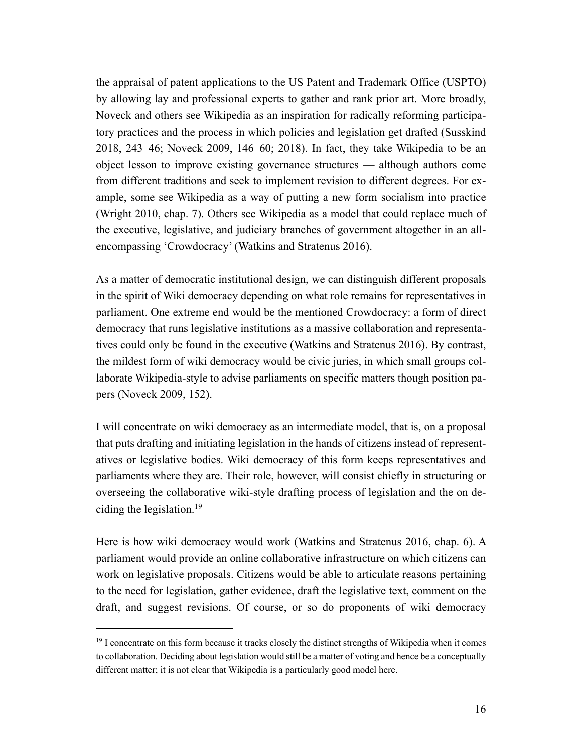the appraisal of patent applications to the US Patent and Trademark Office (USPTO) by allowing lay and professional experts to gather and rank prior art. More broadly, Noveck and others see Wikipedia as an inspiration for radically reforming participatory practices and the process in which policies and legislation get drafted (Susskind 2018, 243–46; Noveck 2009, 146–60; 2018). In fact, they take Wikipedia to be an object lesson to improve existing governance structures — although authors come from different traditions and seek to implement revision to different degrees. For example, some see Wikipedia as a way of putting a new form socialism into practice (Wright 2010, chap. 7). Others see Wikipedia as a model that could replace much of the executive, legislative, and judiciary branches of government altogether in an allencompassing 'Crowdocracy' (Watkins and Stratenus 2016).

As a matter of democratic institutional design, we can distinguish different proposals in the spirit of Wiki democracy depending on what role remains for representatives in parliament. One extreme end would be the mentioned Crowdocracy: a form of direct democracy that runs legislative institutions as a massive collaboration and representatives could only be found in the executive (Watkins and Stratenus 2016). By contrast, the mildest form of wiki democracy would be civic juries, in which small groups collaborate Wikipedia-style to advise parliaments on specific matters though position papers (Noveck 2009, 152).

I will concentrate on wiki democracy as an intermediate model, that is, on a proposal that puts drafting and initiating legislation in the hands of citizens instead of representatives or legislative bodies. Wiki democracy of this form keeps representatives and parliaments where they are. Their role, however, will consist chiefly in structuring or overseeing the collaborative wiki-style drafting process of legislation and the on deciding the legislation. 19

Here is how wiki democracy would work (Watkins and Stratenus 2016, chap. 6). A parliament would provide an online collaborative infrastructure on which citizens can work on legislative proposals. Citizens would be able to articulate reasons pertaining to the need for legislation, gather evidence, draft the legislative text, comment on the draft, and suggest revisions. Of course, or so do proponents of wiki democracy

<sup>&</sup>lt;sup>19</sup> I concentrate on this form because it tracks closely the distinct strengths of Wikipedia when it comes to collaboration. Deciding about legislation would still be a matter of voting and hence be a conceptually different matter; it is not clear that Wikipedia is a particularly good model here.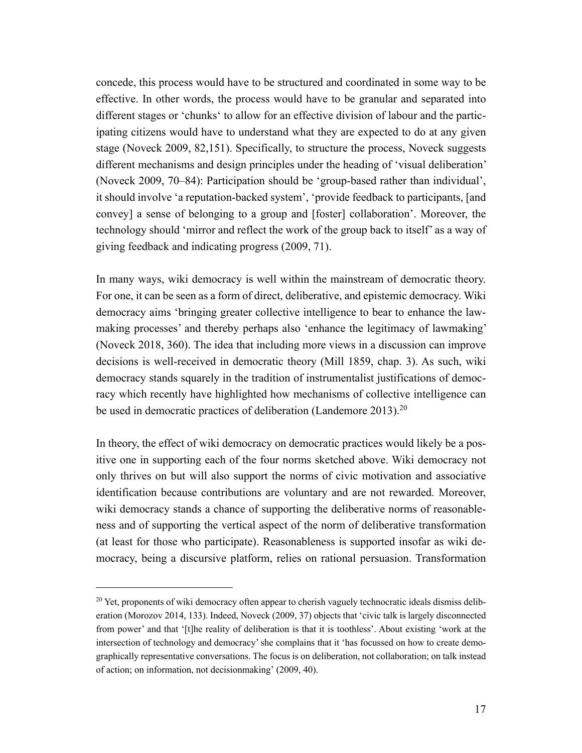concede, this process would have to be structured and coordinated in some way to be effective. In other words, the process would have to be granular and separated into different stages or 'chunks' to allow for an effective division of labour and the participating citizens would have to understand what they are expected to do at any given stage (Noveck 2009, 82,151). Specifically, to structure the process, Noveck suggests different mechanisms and design principles under the heading of 'visual deliberation' (Noveck 2009, 70–84): Participation should be 'group-based rather than individual', it should involve 'a reputation-backed system', 'provide feedback to participants, [and convey] a sense of belonging to a group and [foster] collaboration'. Moreover, the technology should 'mirror and reflect the work of the group back to itself' as a way of giving feedback and indicating progress (2009, 71).

In many ways, wiki democracy is well within the mainstream of democratic theory. For one, it can be seen as a form of direct, deliberative, and epistemic democracy. Wiki democracy aims 'bringing greater collective intelligence to bear to enhance the lawmaking processes' and thereby perhaps also 'enhance the legitimacy of lawmaking' (Noveck 2018, 360). The idea that including more views in a discussion can improve decisions is well-received in democratic theory (Mill 1859, chap. 3). As such, wiki democracy stands squarely in the tradition of instrumentalist justifications of democracy which recently have highlighted how mechanisms of collective intelligence can be used in democratic practices of deliberation (Landemore 2013).<sup>20</sup>

In theory, the effect of wiki democracy on democratic practices would likely be a positive one in supporting each of the four norms sketched above. Wiki democracy not only thrives on but will also support the norms of civic motivation and associative identification because contributions are voluntary and are not rewarded. Moreover, wiki democracy stands a chance of supporting the deliberative norms of reasonableness and of supporting the vertical aspect of the norm of deliberative transformation (at least for those who participate). Reasonableness is supported insofar as wiki democracy, being a discursive platform, relies on rational persuasion. Transformation

 $20$  Yet, proponents of wiki democracy often appear to cherish vaguely technocratic ideals dismiss deliberation (Morozov 2014, 133). Indeed, Noveck (2009, 37) objects that 'civic talk is largely disconnected from power' and that '[t]he reality of deliberation is that it is toothless'. About existing 'work at the intersection of technology and democracy' she complains that it 'has focussed on how to create demographically representative conversations. The focus is on deliberation, not collaboration; on talk instead of action; on information, not decisionmaking' (2009, 40).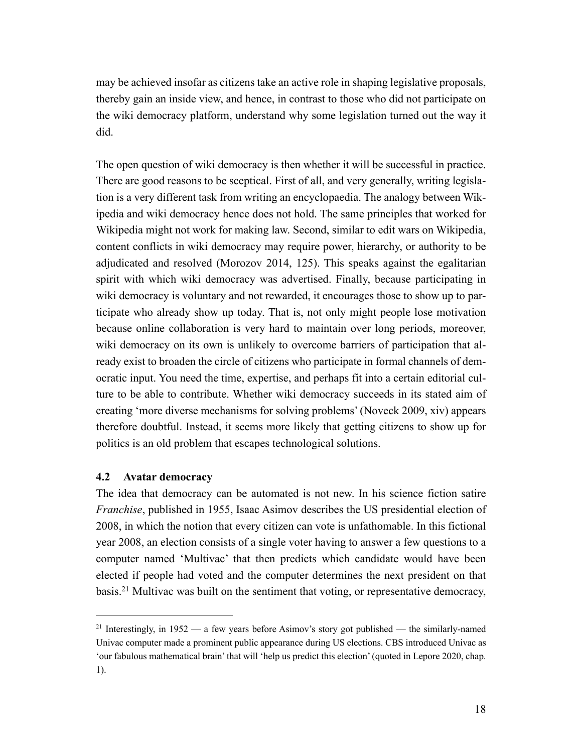may be achieved insofar as citizens take an active role in shaping legislative proposals, thereby gain an inside view, and hence, in contrast to those who did not participate on the wiki democracy platform, understand why some legislation turned out the way it did.

The open question of wiki democracy is then whether it will be successful in practice. There are good reasons to be sceptical. First of all, and very generally, writing legislation is a very different task from writing an encyclopaedia. The analogy between Wikipedia and wiki democracy hence does not hold. The same principles that worked for Wikipedia might not work for making law. Second, similar to edit wars on Wikipedia, content conflicts in wiki democracy may require power, hierarchy, or authority to be adjudicated and resolved (Morozov 2014, 125). This speaks against the egalitarian spirit with which wiki democracy was advertised. Finally, because participating in wiki democracy is voluntary and not rewarded, it encourages those to show up to participate who already show up today. That is, not only might people lose motivation because online collaboration is very hard to maintain over long periods, moreover, wiki democracy on its own is unlikely to overcome barriers of participation that already exist to broaden the circle of citizens who participate in formal channels of democratic input. You need the time, expertise, and perhaps fit into a certain editorial culture to be able to contribute. Whether wiki democracy succeeds in its stated aim of creating 'more diverse mechanisms for solving problems' (Noveck 2009, xiv) appears therefore doubtful. Instead, it seems more likely that getting citizens to show up for politics is an old problem that escapes technological solutions.

#### **4.2 Avatar democracy**

The idea that democracy can be automated is not new. In his science fiction satire *Franchise*, published in 1955, Isaac Asimov describes the US presidential election of 2008, in which the notion that every citizen can vote is unfathomable. In this fictional year 2008, an election consists of a single voter having to answer a few questions to a computer named 'Multivac' that then predicts which candidate would have been elected if people had voted and the computer determines the next president on that basis.<sup>21</sup> Multivac was built on the sentiment that voting, or representative democracy,

<sup>&</sup>lt;sup>21</sup> Interestingly, in 1952 — a few years before Asimov's story got published — the similarly-named Univac computer made a prominent public appearance during US elections. CBS introduced Univac as 'our fabulous mathematical brain' that will 'help us predict this election' (quoted in Lepore 2020, chap. 1).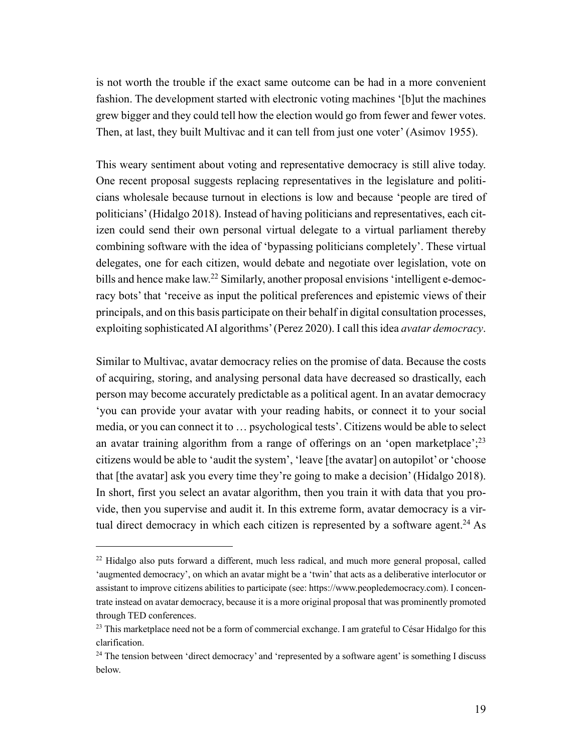is not worth the trouble if the exact same outcome can be had in a more convenient fashion. The development started with electronic voting machines '[b]ut the machines grew bigger and they could tell how the election would go from fewer and fewer votes. Then, at last, they built Multivac and it can tell from just one voter' (Asimov 1955).

This weary sentiment about voting and representative democracy is still alive today. One recent proposal suggests replacing representatives in the legislature and politicians wholesale because turnout in elections is low and because 'people are tired of politicians'(Hidalgo 2018). Instead of having politicians and representatives, each citizen could send their own personal virtual delegate to a virtual parliament thereby combining software with the idea of 'bypassing politicians completely'. These virtual delegates, one for each citizen, would debate and negotiate over legislation, vote on bills and hence make law.<sup>22</sup> Similarly, another proposal envisions 'intelligent e-democracy bots' that 'receive as input the political preferences and epistemic views of their principals, and on this basis participate on their behalf in digital consultation processes, exploiting sophisticated AI algorithms'(Perez 2020). I call this idea *avatar democracy*.

Similar to Multivac, avatar democracy relies on the promise of data. Because the costs of acquiring, storing, and analysing personal data have decreased so drastically, each person may become accurately predictable as a political agent. In an avatar democracy 'you can provide your avatar with your reading habits, or connect it to your social media, or you can connect it to … psychological tests'. Citizens would be able to select an avatar training algorithm from a range of offerings on an 'open marketplace';<sup>23</sup> citizens would be able to 'audit the system', 'leave [the avatar] on autopilot' or 'choose that [the avatar] ask you every time they're going to make a decision'(Hidalgo 2018). In short, first you select an avatar algorithm, then you train it with data that you provide, then you supervise and audit it. In this extreme form, avatar democracy is a virtual direct democracy in which each citizen is represented by a software agent.<sup>24</sup> As

<sup>&</sup>lt;sup>22</sup> Hidalgo also puts forward a different, much less radical, and much more general proposal, called 'augmented democracy', on which an avatar might be a 'twin' that acts as a deliberative interlocutor or assistant to improve citizens abilities to participate (see: https://www.peopledemocracy.com). I concentrate instead on avatar democracy, because it is a more original proposal that was prominently promoted through TED conferences.

<sup>&</sup>lt;sup>23</sup> This marketplace need not be a form of commercial exchange. I am grateful to César Hidalgo for this clarification.

 $24$  The tension between 'direct democracy' and 'represented by a software agent' is something I discuss below.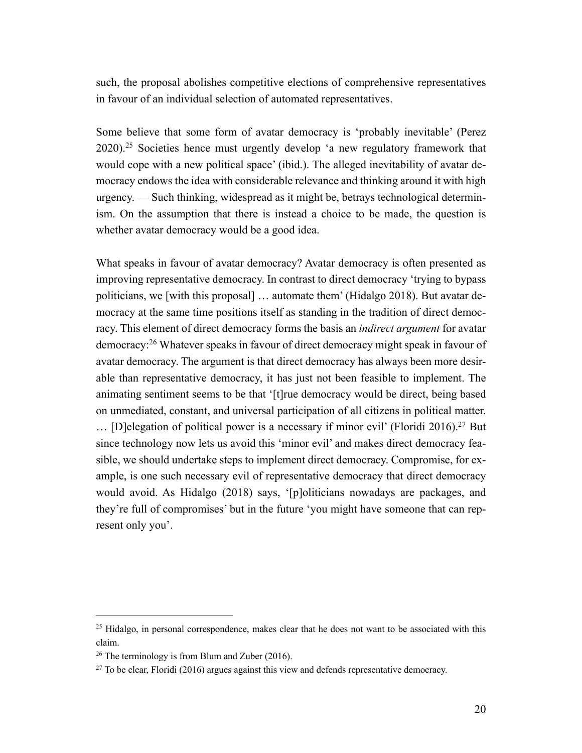such, the proposal abolishes competitive elections of comprehensive representatives in favour of an individual selection of automated representatives.

Some believe that some form of avatar democracy is 'probably inevitable' (Perez 2020).<sup>25</sup> Societies hence must urgently develop 'a new regulatory framework that would cope with a new political space' (ibid.). The alleged inevitability of avatar democracy endows the idea with considerable relevance and thinking around it with high urgency. — Such thinking, widespread as it might be, betrays technological determinism. On the assumption that there is instead a choice to be made, the question is whether avatar democracy would be a good idea.

What speaks in favour of avatar democracy? Avatar democracy is often presented as improving representative democracy. In contrast to direct democracy 'trying to bypass politicians, we [with this proposal] … automate them' (Hidalgo 2018). But avatar democracy at the same time positions itself as standing in the tradition of direct democracy. This element of direct democracy forms the basis an *indirect argument* for avatar democracy: <sup>26</sup> Whatever speaks in favour of direct democracy might speak in favour of avatar democracy. The argument is that direct democracy has always been more desirable than representative democracy, it has just not been feasible to implement. The animating sentiment seems to be that '[t]rue democracy would be direct, being based on unmediated, constant, and universal participation of all citizens in political matter. ... [D]elegation of political power is a necessary if minor evil' (Floridi 2016).<sup>27</sup> But since technology now lets us avoid this 'minor evil' and makes direct democracy feasible, we should undertake steps to implement direct democracy. Compromise, for example, is one such necessary evil of representative democracy that direct democracy would avoid. As Hidalgo (2018) says, '[p]oliticians nowadays are packages, and they're full of compromises' but in the future 'you might have someone that can represent only you'.

<sup>&</sup>lt;sup>25</sup> Hidalgo, in personal correspondence, makes clear that he does not want to be associated with this claim.

<sup>&</sup>lt;sup>26</sup> The terminology is from Blum and Zuber  $(2016)$ .

 $27$  To be clear, Floridi (2016) argues against this view and defends representative democracy.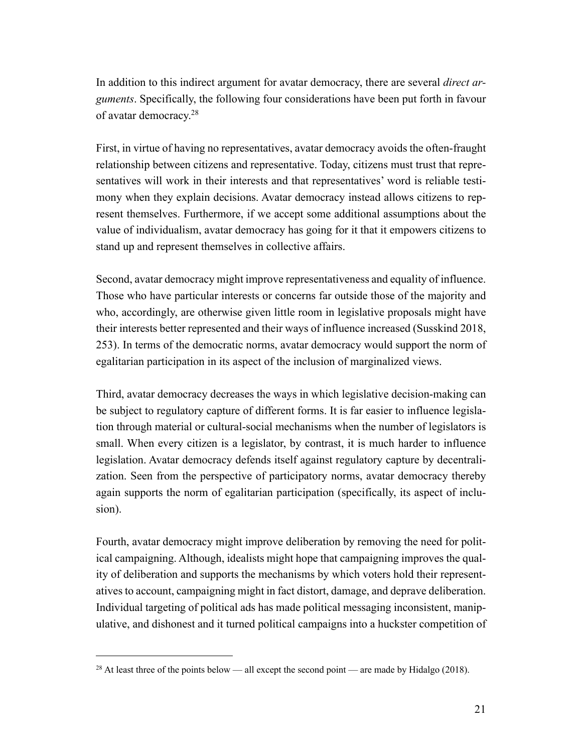In addition to this indirect argument for avatar democracy, there are several *direct arguments*. Specifically, the following four considerations have been put forth in favour of avatar democracy. 28

First, in virtue of having no representatives, avatar democracy avoids the often-fraught relationship between citizens and representative. Today, citizens must trust that representatives will work in their interests and that representatives' word is reliable testimony when they explain decisions. Avatar democracy instead allows citizens to represent themselves. Furthermore, if we accept some additional assumptions about the value of individualism, avatar democracy has going for it that it empowers citizens to stand up and represent themselves in collective affairs.

Second, avatar democracy might improve representativeness and equality of influence. Those who have particular interests or concerns far outside those of the majority and who, accordingly, are otherwise given little room in legislative proposals might have their interests better represented and their ways of influence increased (Susskind 2018, 253). In terms of the democratic norms, avatar democracy would support the norm of egalitarian participation in its aspect of the inclusion of marginalized views.

Third, avatar democracy decreases the ways in which legislative decision-making can be subject to regulatory capture of different forms. It is far easier to influence legislation through material or cultural-social mechanisms when the number of legislators is small. When every citizen is a legislator, by contrast, it is much harder to influence legislation. Avatar democracy defends itself against regulatory capture by decentralization. Seen from the perspective of participatory norms, avatar democracy thereby again supports the norm of egalitarian participation (specifically, its aspect of inclusion).

Fourth, avatar democracy might improve deliberation by removing the need for political campaigning. Although, idealists might hope that campaigning improves the quality of deliberation and supports the mechanisms by which voters hold their representatives to account, campaigning might in fact distort, damage, and deprave deliberation. Individual targeting of political ads has made political messaging inconsistent, manipulative, and dishonest and it turned political campaigns into a huckster competition of

<sup>&</sup>lt;sup>28</sup> At least three of the points below — all except the second point — are made by Hidalgo (2018).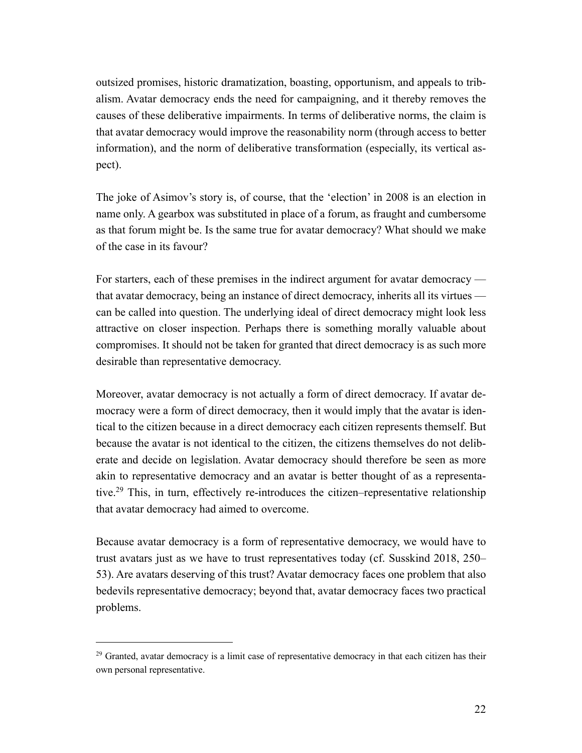outsized promises, historic dramatization, boasting, opportunism, and appeals to tribalism. Avatar democracy ends the need for campaigning, and it thereby removes the causes of these deliberative impairments. In terms of deliberative norms, the claim is that avatar democracy would improve the reasonability norm (through access to better information), and the norm of deliberative transformation (especially, its vertical aspect).

The joke of Asimov's story is, of course, that the 'election' in 2008 is an election in name only. A gearbox was substituted in place of a forum, as fraught and cumbersome as that forum might be. Is the same true for avatar democracy? What should we make of the case in its favour?

For starters, each of these premises in the indirect argument for avatar democracy that avatar democracy, being an instance of direct democracy, inherits all its virtues can be called into question. The underlying ideal of direct democracy might look less attractive on closer inspection. Perhaps there is something morally valuable about compromises. It should not be taken for granted that direct democracy is as such more desirable than representative democracy.

Moreover, avatar democracy is not actually a form of direct democracy. If avatar democracy were a form of direct democracy, then it would imply that the avatar is identical to the citizen because in a direct democracy each citizen represents themself. But because the avatar is not identical to the citizen, the citizens themselves do not deliberate and decide on legislation. Avatar democracy should therefore be seen as more akin to representative democracy and an avatar is better thought of as a representative.29 This, in turn, effectively re-introduces the citizen–representative relationship that avatar democracy had aimed to overcome.

Because avatar democracy is a form of representative democracy, we would have to trust avatars just as we have to trust representatives today (cf. Susskind 2018, 250– 53). Are avatars deserving of this trust? Avatar democracy faces one problem that also bedevils representative democracy; beyond that, avatar democracy faces two practical problems.

 $29$  Granted, avatar democracy is a limit case of representative democracy in that each citizen has their own personal representative.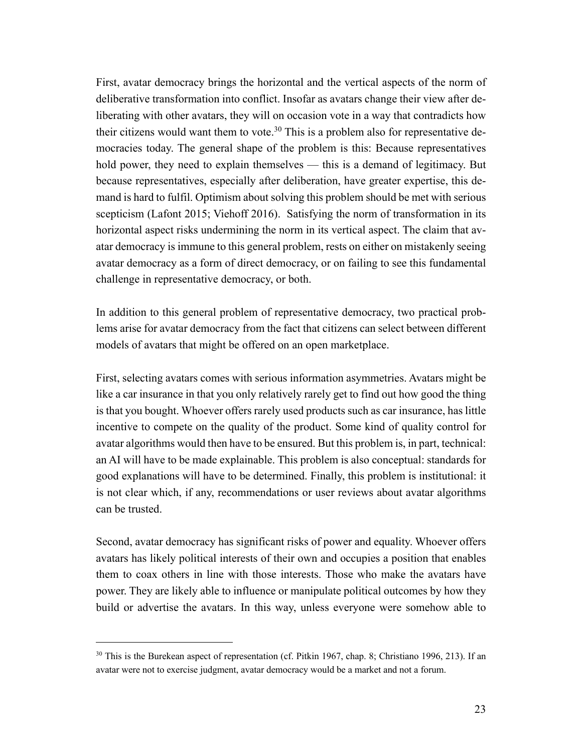First, avatar democracy brings the horizontal and the vertical aspects of the norm of deliberative transformation into conflict. Insofar as avatars change their view after deliberating with other avatars, they will on occasion vote in a way that contradicts how their citizens would want them to vote.<sup>30</sup> This is a problem also for representative democracies today. The general shape of the problem is this: Because representatives hold power, they need to explain themselves — this is a demand of legitimacy. But because representatives, especially after deliberation, have greater expertise, this demand is hard to fulfil. Optimism about solving this problem should be met with serious scepticism (Lafont 2015; Viehoff 2016). Satisfying the norm of transformation in its horizontal aspect risks undermining the norm in its vertical aspect. The claim that avatar democracy is immune to this general problem, rests on either on mistakenly seeing avatar democracy as a form of direct democracy, or on failing to see this fundamental challenge in representative democracy, or both.

In addition to this general problem of representative democracy, two practical problems arise for avatar democracy from the fact that citizens can select between different models of avatars that might be offered on an open marketplace.

First, selecting avatars comes with serious information asymmetries. Avatars might be like a car insurance in that you only relatively rarely get to find out how good the thing is that you bought. Whoever offers rarely used products such as car insurance, has little incentive to compete on the quality of the product. Some kind of quality control for avatar algorithms would then have to be ensured. But this problem is, in part, technical: an AI will have to be made explainable. This problem is also conceptual: standards for good explanations will have to be determined. Finally, this problem is institutional: it is not clear which, if any, recommendations or user reviews about avatar algorithms can be trusted.

Second, avatar democracy has significant risks of power and equality. Whoever offers avatars has likely political interests of their own and occupies a position that enables them to coax others in line with those interests. Those who make the avatars have power. They are likely able to influence or manipulate political outcomes by how they build or advertise the avatars. In this way, unless everyone were somehow able to

<sup>&</sup>lt;sup>30</sup> This is the Burekean aspect of representation (cf. Pitkin 1967, chap. 8; Christiano 1996, 213). If an avatar were not to exercise judgment, avatar democracy would be a market and not a forum.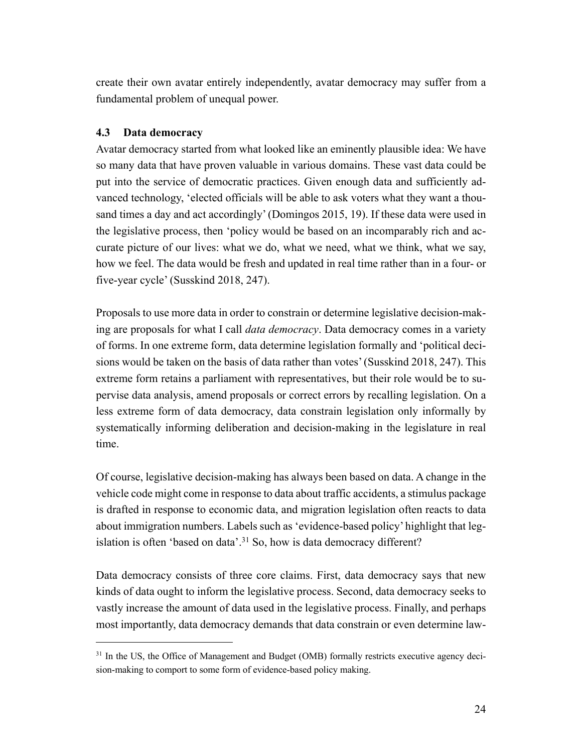create their own avatar entirely independently, avatar democracy may suffer from a fundamental problem of unequal power.

## **4.3 Data democracy**

Avatar democracy started from what looked like an eminently plausible idea: We have so many data that have proven valuable in various domains. These vast data could be put into the service of democratic practices. Given enough data and sufficiently advanced technology, 'elected officials will be able to ask voters what they want a thousand times a day and act accordingly'(Domingos 2015, 19). If these data were used in the legislative process, then 'policy would be based on an incomparably rich and accurate picture of our lives: what we do, what we need, what we think, what we say, how we feel. The data would be fresh and updated in real time rather than in a four- or five-year cycle' (Susskind 2018, 247).

Proposals to use more data in order to constrain or determine legislative decision-making are proposals for what I call *data democracy*. Data democracy comes in a variety of forms. In one extreme form, data determine legislation formally and 'political decisions would be taken on the basis of data rather than votes'(Susskind 2018, 247). This extreme form retains a parliament with representatives, but their role would be to supervise data analysis, amend proposals or correct errors by recalling legislation. On a less extreme form of data democracy, data constrain legislation only informally by systematically informing deliberation and decision-making in the legislature in real time.

Of course, legislative decision-making has always been based on data. A change in the vehicle code might come in response to data about traffic accidents, a stimulus package is drafted in response to economic data, and migration legislation often reacts to data about immigration numbers. Labels such as 'evidence-based policy' highlight that legislation is often 'based on data'.<sup>31</sup> So, how is data democracy different?

Data democracy consists of three core claims. First, data democracy says that new kinds of data ought to inform the legislative process. Second, data democracy seeks to vastly increase the amount of data used in the legislative process. Finally, and perhaps most importantly, data democracy demands that data constrain or even determine law-

<sup>&</sup>lt;sup>31</sup> In the US, the Office of Management and Budget (OMB) formally restricts executive agency decision-making to comport to some form of evidence-based policy making.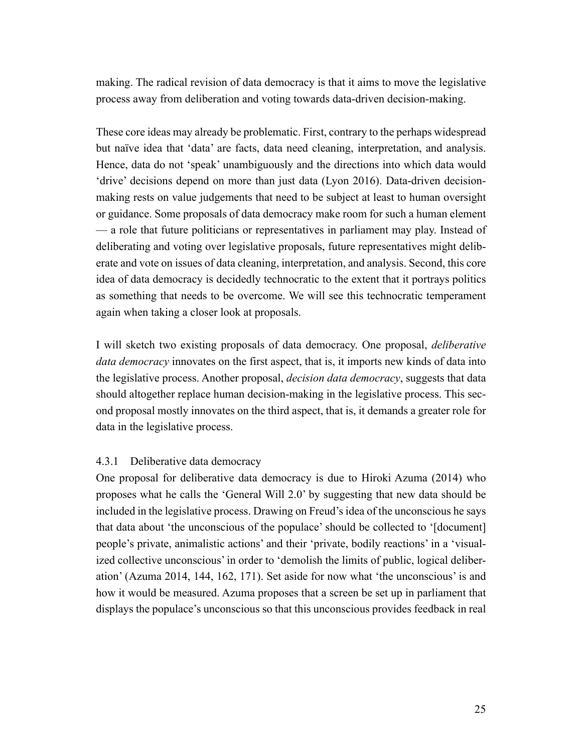making. The radical revision of data democracy is that it aims to move the legislative process away from deliberation and voting towards data-driven decision-making.

These core ideas may already be problematic. First, contrary to the perhaps widespread but naïve idea that 'data' are facts, data need cleaning, interpretation, and analysis. Hence, data do not 'speak' unambiguously and the directions into which data would 'drive' decisions depend on more than just data (Lyon 2016). Data-driven decisionmaking rests on value judgements that need to be subject at least to human oversight or guidance. Some proposals of data democracy make room for such a human element — a role that future politicians or representatives in parliament may play. Instead of deliberating and voting over legislative proposals, future representatives might deliberate and vote on issues of data cleaning, interpretation, and analysis. Second, this core idea of data democracy is decidedly technocratic to the extent that it portrays politics as something that needs to be overcome. We will see this technocratic temperament again when taking a closer look at proposals.

I will sketch two existing proposals of data democracy. One proposal, *deliberative data democracy* innovates on the first aspect, that is, it imports new kinds of data into the legislative process. Another proposal, *decision data democracy*, suggests that data should altogether replace human decision-making in the legislative process. This second proposal mostly innovates on the third aspect, that is, it demands a greater role for data in the legislative process.

### 4.3.1 Deliberative data democracy

One proposal for deliberative data democracy is due to Hiroki Azuma (2014) who proposes what he calls the 'General Will 2.0' by suggesting that new data should be included in the legislative process. Drawing on Freud's idea of the unconscious he says that data about 'the unconscious of the populace' should be collected to '[document] people's private, animalistic actions' and their 'private, bodily reactions' in a 'visualized collective unconscious' in order to 'demolish the limits of public, logical deliberation' (Azuma 2014, 144, 162, 171). Set aside for now what 'the unconscious' is and how it would be measured. Azuma proposes that a screen be set up in parliament that displays the populace's unconscious so that this unconscious provides feedback in real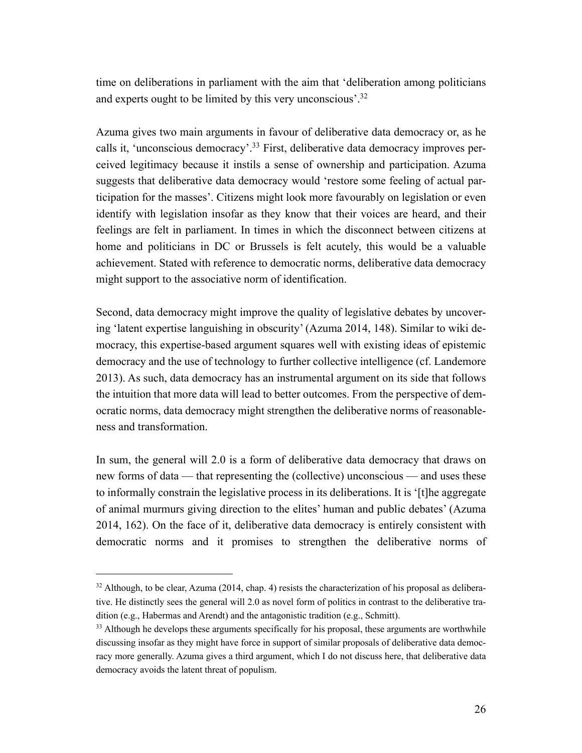time on deliberations in parliament with the aim that 'deliberation among politicians and experts ought to be limited by this very unconscious'.<sup>32</sup>

Azuma gives two main arguments in favour of deliberative data democracy or, as he calls it, 'unconscious democracy'.<sup>33</sup> First, deliberative data democracy improves perceived legitimacy because it instils a sense of ownership and participation. Azuma suggests that deliberative data democracy would 'restore some feeling of actual participation for the masses'. Citizens might look more favourably on legislation or even identify with legislation insofar as they know that their voices are heard, and their feelings are felt in parliament. In times in which the disconnect between citizens at home and politicians in DC or Brussels is felt acutely, this would be a valuable achievement. Stated with reference to democratic norms, deliberative data democracy might support to the associative norm of identification.

Second, data democracy might improve the quality of legislative debates by uncovering 'latent expertise languishing in obscurity' (Azuma 2014, 148). Similar to wiki democracy, this expertise-based argument squares well with existing ideas of epistemic democracy and the use of technology to further collective intelligence (cf. Landemore 2013). As such, data democracy has an instrumental argument on its side that follows the intuition that more data will lead to better outcomes. From the perspective of democratic norms, data democracy might strengthen the deliberative norms of reasonableness and transformation.

In sum, the general will 2.0 is a form of deliberative data democracy that draws on new forms of data — that representing the (collective) unconscious — and uses these to informally constrain the legislative process in its deliberations. It is '[t]he aggregate of animal murmurs giving direction to the elites' human and public debates' (Azuma 2014, 162). On the face of it, deliberative data democracy is entirely consistent with democratic norms and it promises to strengthen the deliberative norms of

 $32$  Although, to be clear, Azuma (2014, chap. 4) resists the characterization of his proposal as deliberative. He distinctly sees the general will 2.0 as novel form of politics in contrast to the deliberative tradition (e.g., Habermas and Arendt) and the antagonistic tradition (e.g., Schmitt).

<sup>&</sup>lt;sup>33</sup> Although he develops these arguments specifically for his proposal, these arguments are worthwhile discussing insofar as they might have force in support of similar proposals of deliberative data democracy more generally. Azuma gives a third argument, which I do not discuss here, that deliberative data democracy avoids the latent threat of populism.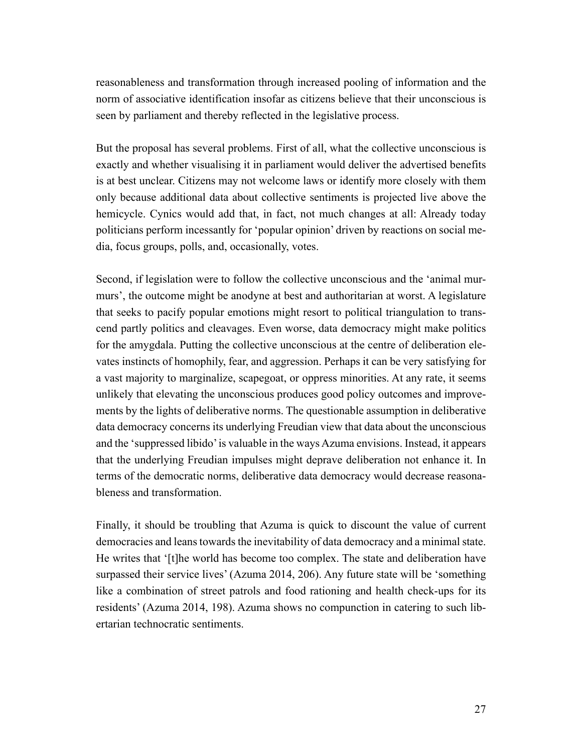reasonableness and transformation through increased pooling of information and the norm of associative identification insofar as citizens believe that their unconscious is seen by parliament and thereby reflected in the legislative process.

But the proposal has several problems. First of all, what the collective unconscious is exactly and whether visualising it in parliament would deliver the advertised benefits is at best unclear. Citizens may not welcome laws or identify more closely with them only because additional data about collective sentiments is projected live above the hemicycle. Cynics would add that, in fact, not much changes at all: Already today politicians perform incessantly for 'popular opinion' driven by reactions on social media, focus groups, polls, and, occasionally, votes.

Second, if legislation were to follow the collective unconscious and the 'animal murmurs', the outcome might be anodyne at best and authoritarian at worst. A legislature that seeks to pacify popular emotions might resort to political triangulation to transcend partly politics and cleavages. Even worse, data democracy might make politics for the amygdala. Putting the collective unconscious at the centre of deliberation elevates instincts of homophily, fear, and aggression. Perhaps it can be very satisfying for a vast majority to marginalize, scapegoat, or oppress minorities. At any rate, it seems unlikely that elevating the unconscious produces good policy outcomes and improvements by the lights of deliberative norms. The questionable assumption in deliberative data democracy concerns its underlying Freudian view that data about the unconscious and the 'suppressed libido' is valuable in the ways Azuma envisions. Instead, it appears that the underlying Freudian impulses might deprave deliberation not enhance it. In terms of the democratic norms, deliberative data democracy would decrease reasonableness and transformation.

Finally, it should be troubling that Azuma is quick to discount the value of current democracies and leans towards the inevitability of data democracy and a minimal state. He writes that '[t]he world has become too complex. The state and deliberation have surpassed their service lives' (Azuma 2014, 206). Any future state will be 'something like a combination of street patrols and food rationing and health check-ups for its residents' (Azuma 2014, 198). Azuma shows no compunction in catering to such libertarian technocratic sentiments.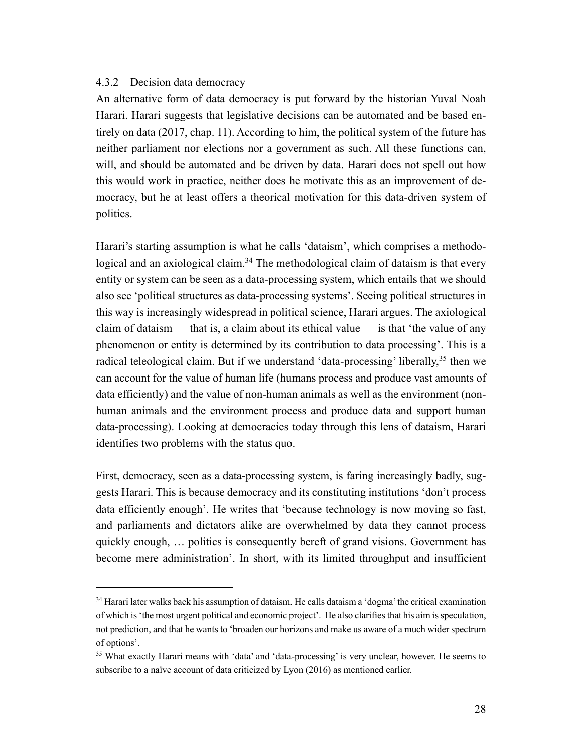#### 4.3.2 Decision data democracy

An alternative form of data democracy is put forward by the historian Yuval Noah Harari. Harari suggests that legislative decisions can be automated and be based entirely on data (2017, chap. 11). According to him, the political system of the future has neither parliament nor elections nor a government as such. All these functions can, will, and should be automated and be driven by data. Harari does not spell out how this would work in practice, neither does he motivate this as an improvement of democracy, but he at least offers a theorical motivation for this data-driven system of politics.

Harari's starting assumption is what he calls 'dataism', which comprises a methodological and an axiological claim.<sup>34</sup> The methodological claim of dataism is that every entity or system can be seen as a data-processing system, which entails that we should also see 'political structures as data-processing systems'. Seeing political structures in this way is increasingly widespread in political science, Harari argues. The axiological claim of dataism — that is, a claim about its ethical value — is that 'the value of any phenomenon or entity is determined by its contribution to data processing'. This is a radical teleological claim. But if we understand 'data-processing' liberally,<sup>35</sup> then we can account for the value of human life (humans process and produce vast amounts of data efficiently) and the value of non-human animals as well as the environment (nonhuman animals and the environment process and produce data and support human data-processing). Looking at democracies today through this lens of dataism, Harari identifies two problems with the status quo.

First, democracy, seen as a data-processing system, is faring increasingly badly, suggests Harari. This is because democracy and its constituting institutions 'don't process data efficiently enough'. He writes that 'because technology is now moving so fast, and parliaments and dictators alike are overwhelmed by data they cannot process quickly enough, … politics is consequently bereft of grand visions. Government has become mere administration'. In short, with its limited throughput and insufficient

<sup>&</sup>lt;sup>34</sup> Harari later walks back his assumption of dataism. He calls dataism a 'dogma' the critical examination of which is 'the most urgent political and economic project'. He also clarifies that his aim is speculation, not prediction, and that he wants to 'broaden our horizons and make us aware of a much wider spectrum of options'.

<sup>&</sup>lt;sup>35</sup> What exactly Harari means with 'data' and 'data-processing' is very unclear, however. He seems to subscribe to a naïve account of data criticized by Lyon (2016) as mentioned earlier.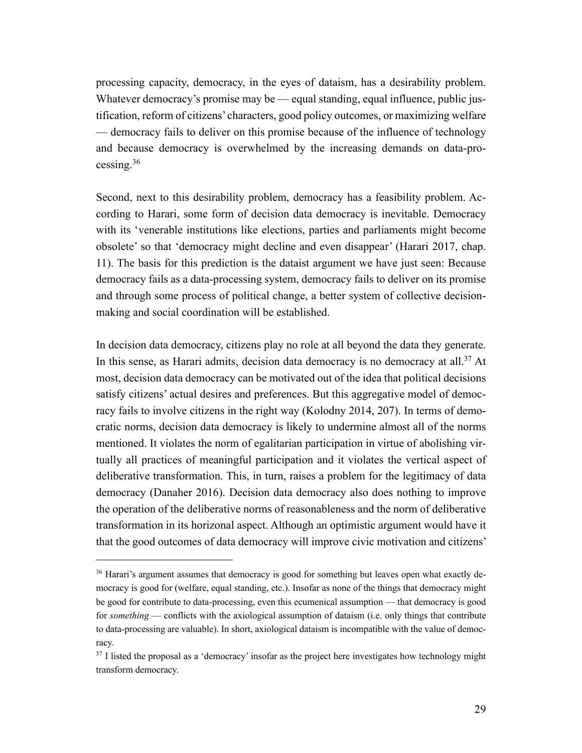processing capacity, democracy, in the eyes of dataism, has a desirability problem. Whatever democracy's promise may be — equal standing, equal influence, public justification, reform of citizens' characters, good policy outcomes, or maximizing welfare — democracy fails to deliver on this promise because of the influence of technology and because democracy is overwhelmed by the increasing demands on data-processing. 36

Second, next to this desirability problem, democracy has a feasibility problem. According to Harari, some form of decision data democracy is inevitable. Democracy with its 'venerable institutions like elections, parties and parliaments might become obsolete' so that 'democracy might decline and even disappear' (Harari 2017, chap. 11). The basis for this prediction is the dataist argument we have just seen: Because democracy fails as a data-processing system, democracy fails to deliver on its promise and through some process of political change, a better system of collective decisionmaking and social coordination will be established.

In decision data democracy, citizens play no role at all beyond the data they generate. In this sense, as Harari admits, decision data democracy is no democracy at all.<sup>37</sup> At most, decision data democracy can be motivated out of the idea that political decisions satisfy citizens' actual desires and preferences. But this aggregative model of democracy fails to involve citizens in the right way (Kolodny 2014, 207). In terms of democratic norms, decision data democracy is likely to undermine almost all of the norms mentioned. It violates the norm of egalitarian participation in virtue of abolishing virtually all practices of meaningful participation and it violates the vertical aspect of deliberative transformation. This, in turn, raises a problem for the legitimacy of data democracy (Danaher 2016). Decision data democracy also does nothing to improve the operation of the deliberative norms of reasonableness and the norm of deliberative transformation in its horizonal aspect. Although an optimistic argument would have it that the good outcomes of data democracy will improve civic motivation and citizens'

<sup>&</sup>lt;sup>36</sup> Harari's argument assumes that democracy is good for something but leaves open what exactly democracy is good for (welfare, equal standing, etc.). Insofar as none of the things that democracy might be good for contribute to data-processing, even this ecumenical assumption — that democracy is good for *something* — conflicts with the axiological assumption of dataism (i.e. only things that contribute to data-processing are valuable). In short, axiological dataism is incompatible with the value of democracy.

<sup>&</sup>lt;sup>37</sup> I listed the proposal as a 'democracy' insofar as the project here investigates how technology might transform democracy.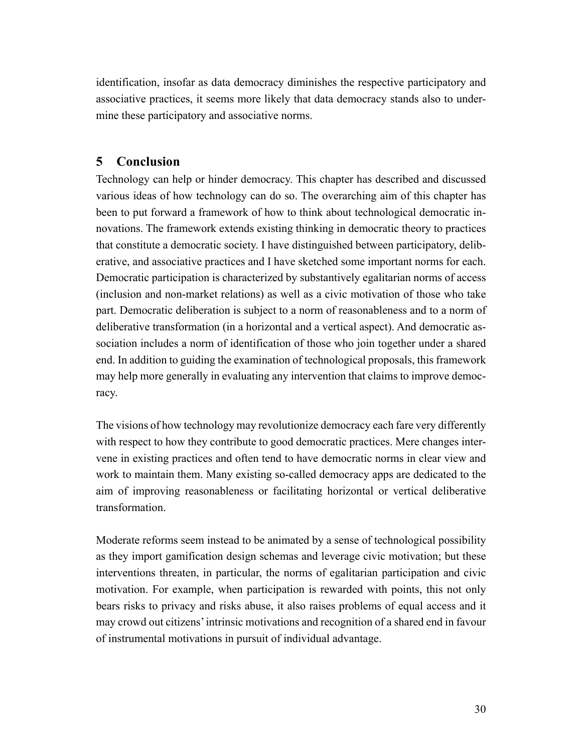identification, insofar as data democracy diminishes the respective participatory and associative practices, it seems more likely that data democracy stands also to undermine these participatory and associative norms.

# **5 Conclusion**

Technology can help or hinder democracy. This chapter has described and discussed various ideas of how technology can do so. The overarching aim of this chapter has been to put forward a framework of how to think about technological democratic innovations. The framework extends existing thinking in democratic theory to practices that constitute a democratic society. I have distinguished between participatory, deliberative, and associative practices and I have sketched some important norms for each. Democratic participation is characterized by substantively egalitarian norms of access (inclusion and non-market relations) as well as a civic motivation of those who take part. Democratic deliberation is subject to a norm of reasonableness and to a norm of deliberative transformation (in a horizontal and a vertical aspect). And democratic association includes a norm of identification of those who join together under a shared end. In addition to guiding the examination of technological proposals, this framework may help more generally in evaluating any intervention that claims to improve democracy.

The visions of how technology may revolutionize democracy each fare very differently with respect to how they contribute to good democratic practices. Mere changes intervene in existing practices and often tend to have democratic norms in clear view and work to maintain them. Many existing so-called democracy apps are dedicated to the aim of improving reasonableness or facilitating horizontal or vertical deliberative transformation.

Moderate reforms seem instead to be animated by a sense of technological possibility as they import gamification design schemas and leverage civic motivation; but these interventions threaten, in particular, the norms of egalitarian participation and civic motivation. For example, when participation is rewarded with points, this not only bears risks to privacy and risks abuse, it also raises problems of equal access and it may crowd out citizens' intrinsic motivations and recognition of a shared end in favour of instrumental motivations in pursuit of individual advantage.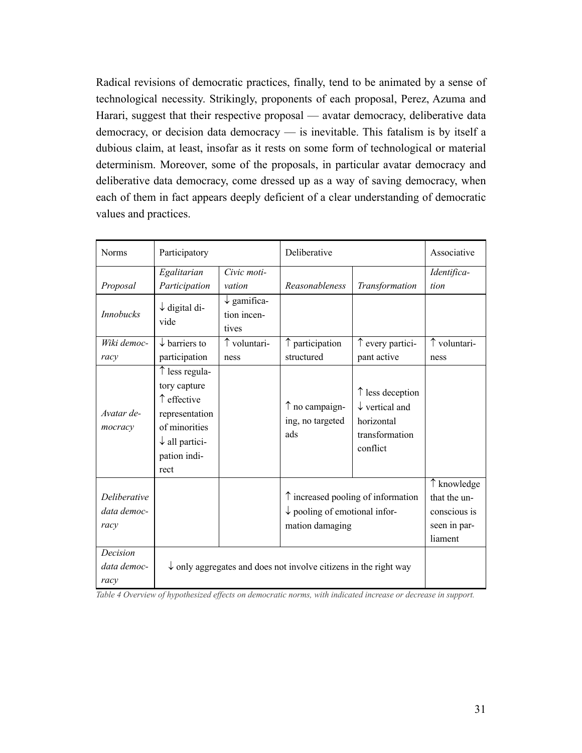Radical revisions of democratic practices, finally, tend to be animated by a sense of technological necessity. Strikingly, proponents of each proposal, Perez, Azuma and Harari, suggest that their respective proposal — avatar democracy, deliberative data democracy, or decision data democracy — is inevitable. This fatalism is by itself a dubious claim, at least, insofar as it rests on some form of technological or material determinism. Moreover, some of the proposals, in particular avatar democracy and deliberative data democracy, come dressed up as a way of saving democracy, when each of them in fact appears deeply deficient of a clear understanding of democratic values and practices.

| Norms                               | Participatory                                                                                                                         |                                                | Deliberative                                                                                      |                                                                                           | Associative                                                                     |
|-------------------------------------|---------------------------------------------------------------------------------------------------------------------------------------|------------------------------------------------|---------------------------------------------------------------------------------------------------|-------------------------------------------------------------------------------------------|---------------------------------------------------------------------------------|
| Proposal                            | Egalitarian<br>Participation                                                                                                          | Civic moti-<br>vation                          | Reasonableness                                                                                    | Transformation                                                                            | Identifica-<br>tion                                                             |
| <b>Innobucks</b>                    | $\downarrow$ digital di-<br>vide                                                                                                      | $\downarrow$ gamifica-<br>tion incen-<br>tives |                                                                                                   |                                                                                           |                                                                                 |
| Wiki democ-<br>racy                 | $\downarrow$ barriers to<br>participation                                                                                             | ↑ voluntari-<br>ness                           | $\uparrow$ participation<br>structured                                                            | ↑ every partici-<br>pant active                                                           | ↑ voluntari-<br>ness                                                            |
| Avatar de-<br>mocracy               | ↑ less regula-<br>tory capture<br>↑ effective<br>representation<br>of minorities<br>$\downarrow$ all partici-<br>pation indi-<br>rect |                                                | $\uparrow$ no campaign-<br>ing, no targeted<br>ads                                                | ↑ less deception<br>$\downarrow$ vertical and<br>horizontal<br>transformation<br>conflict |                                                                                 |
| Deliberative<br>data democ-<br>racy |                                                                                                                                       |                                                | ↑ increased pooling of information<br>$\downarrow$ pooling of emotional infor-<br>mation damaging |                                                                                           | $\uparrow$ knowledge<br>that the un-<br>conscious is<br>seen in par-<br>liament |
| Decision<br>data democ-<br>racy     | $\downarrow$ only aggregates and does not involve citizens in the right way                                                           |                                                |                                                                                                   |                                                                                           |                                                                                 |

*Table 4 Overview of hypothesized effects on democratic norms, with indicated increase or decrease in support.*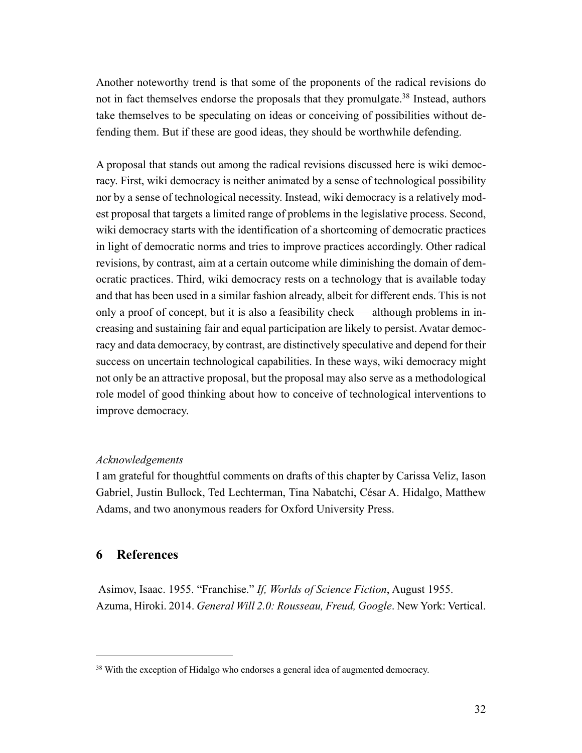Another noteworthy trend is that some of the proponents of the radical revisions do not in fact themselves endorse the proposals that they promulgate.<sup>38</sup> Instead, authors take themselves to be speculating on ideas or conceiving of possibilities without defending them. But if these are good ideas, they should be worthwhile defending.

A proposal that stands out among the radical revisions discussed here is wiki democracy. First, wiki democracy is neither animated by a sense of technological possibility nor by a sense of technological necessity. Instead, wiki democracy is a relatively modest proposal that targets a limited range of problems in the legislative process. Second, wiki democracy starts with the identification of a shortcoming of democratic practices in light of democratic norms and tries to improve practices accordingly. Other radical revisions, by contrast, aim at a certain outcome while diminishing the domain of democratic practices. Third, wiki democracy rests on a technology that is available today and that has been used in a similar fashion already, albeit for different ends. This is not only a proof of concept, but it is also a feasibility check — although problems in increasing and sustaining fair and equal participation are likely to persist. Avatar democracy and data democracy, by contrast, are distinctively speculative and depend for their success on uncertain technological capabilities. In these ways, wiki democracy might not only be an attractive proposal, but the proposal may also serve as a methodological role model of good thinking about how to conceive of technological interventions to improve democracy.

#### *Acknowledgements*

I am grateful for thoughtful comments on drafts of this chapter by Carissa Veliz, Iason Gabriel, Justin Bullock, Ted Lechterman, Tina Nabatchi, César A. Hidalgo, Matthew Adams, and two anonymous readers for Oxford University Press.

## **6 References**

Asimov, Isaac. 1955. "Franchise." *If, Worlds of Science Fiction*, August 1955. Azuma, Hiroki. 2014. *General Will 2.0: Rousseau, Freud, Google*. New York: Vertical.

<sup>&</sup>lt;sup>38</sup> With the exception of Hidalgo who endorses a general idea of augmented democracy.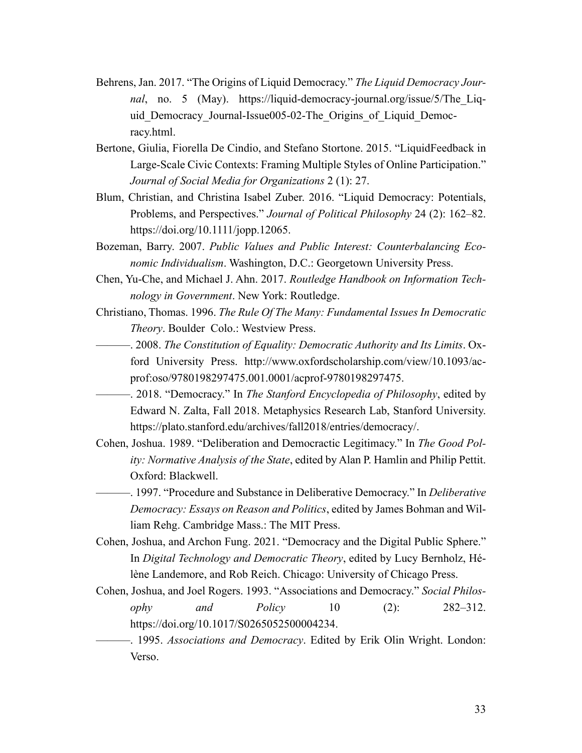- Behrens, Jan. 2017. "The Origins of Liquid Democracy." *The Liquid Democracy Journal*, no. 5 (May). https://liquid-democracy-journal.org/issue/5/The\_Liquid Democracy Journal-Issue005-02-The Origins of Liquid Democracy.html.
- Bertone, Giulia, Fiorella De Cindio, and Stefano Stortone. 2015. "LiquidFeedback in Large-Scale Civic Contexts: Framing Multiple Styles of Online Participation." *Journal of Social Media for Organizations* 2 (1): 27.
- Blum, Christian, and Christina Isabel Zuber. 2016. "Liquid Democracy: Potentials, Problems, and Perspectives." *Journal of Political Philosophy* 24 (2): 162–82. https://doi.org/10.1111/jopp.12065.
- Bozeman, Barry. 2007. *Public Values and Public Interest: Counterbalancing Economic Individualism*. Washington, D.C.: Georgetown University Press.
- Chen, Yu-Che, and Michael J. Ahn. 2017. *Routledge Handbook on Information Technology in Government*. New York: Routledge.
- Christiano, Thomas. 1996. *The Rule Of The Many: Fundamental Issues In Democratic Theory*. Boulder Colo.: Westview Press.
- ———. 2008. *The Constitution of Equality: Democratic Authority and Its Limits*. Oxford University Press. http://www.oxfordscholarship.com/view/10.1093/acprof:oso/9780198297475.001.0001/acprof-9780198297475.
- ———. 2018. "Democracy." In *The Stanford Encyclopedia of Philosophy*, edited by Edward N. Zalta, Fall 2018. Metaphysics Research Lab, Stanford University. https://plato.stanford.edu/archives/fall2018/entries/democracy/.
- Cohen, Joshua. 1989. "Deliberation and Democractic Legitimacy." In *The Good Polity: Normative Analysis of the State*, edited by Alan P. Hamlin and Philip Pettit. Oxford: Blackwell.
	- ———. 1997. "Procedure and Substance in Deliberative Democracy." In *Deliberative Democracy: Essays on Reason and Politics*, edited by James Bohman and William Rehg. Cambridge Mass.: The MIT Press.
- Cohen, Joshua, and Archon Fung. 2021. "Democracy and the Digital Public Sphere." In *Digital Technology and Democratic Theory*, edited by Lucy Bernholz, Hélène Landemore, and Rob Reich. Chicago: University of Chicago Press.
- Cohen, Joshua, and Joel Rogers. 1993. "Associations and Democracy." *Social Philosophy and Policy* 10 (2): 282–312. https://doi.org/10.1017/S0265052500004234.
- ———. 1995. *Associations and Democracy*. Edited by Erik Olin Wright. London: Verso.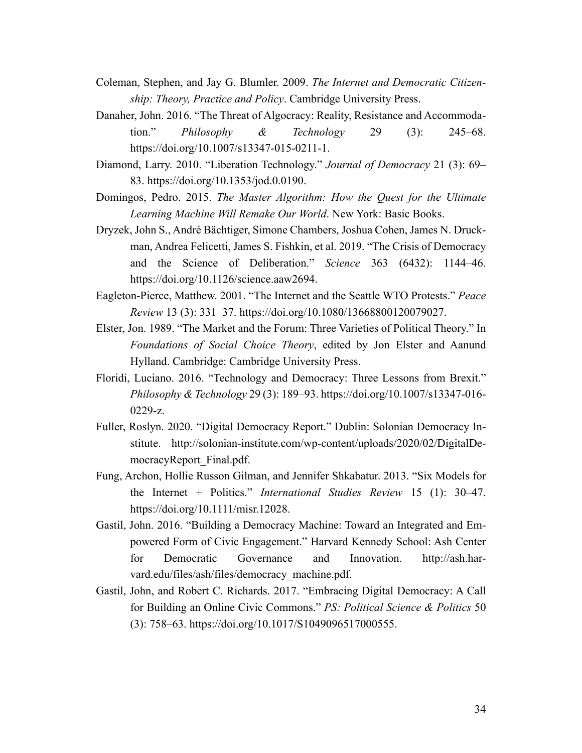- Coleman, Stephen, and Jay G. Blumler. 2009. *The Internet and Democratic Citizenship: Theory, Practice and Policy*. Cambridge University Press.
- Danaher, John. 2016. "The Threat of Algocracy: Reality, Resistance and Accommodation." *Philosophy & Technology* 29 (3): 245–68. https://doi.org/10.1007/s13347-015-0211-1.
- Diamond, Larry. 2010. "Liberation Technology." *Journal of Democracy* 21 (3): 69– 83. https://doi.org/10.1353/jod.0.0190.
- Domingos, Pedro. 2015. *The Master Algorithm: How the Quest for the Ultimate Learning Machine Will Remake Our World*. New York: Basic Books.
- Dryzek, John S., André Bächtiger, Simone Chambers, Joshua Cohen, James N. Druckman, Andrea Felicetti, James S. Fishkin, et al. 2019. "The Crisis of Democracy and the Science of Deliberation." *Science* 363 (6432): 1144–46. https://doi.org/10.1126/science.aaw2694.
- Eagleton-Pierce, Matthew. 2001. "The Internet and the Seattle WTO Protests." *Peace Review* 13 (3): 331–37. https://doi.org/10.1080/13668800120079027.
- Elster, Jon. 1989. "The Market and the Forum: Three Varieties of Political Theory." In *Foundations of Social Choice Theory*, edited by Jon Elster and Aanund Hylland. Cambridge: Cambridge University Press.
- Floridi, Luciano. 2016. "Technology and Democracy: Three Lessons from Brexit." *Philosophy & Technology* 29 (3): 189–93. https://doi.org/10.1007/s13347-016-  $0229-z$ .
- Fuller, Roslyn. 2020. "Digital Democracy Report." Dublin: Solonian Democracy Institute. http://solonian-institute.com/wp-content/uploads/2020/02/DigitalDemocracyReport\_Final.pdf.
- Fung, Archon, Hollie Russon Gilman, and Jennifer Shkabatur. 2013. "Six Models for the Internet + Politics." *International Studies Review* 15 (1): 30–47. https://doi.org/10.1111/misr.12028.
- Gastil, John. 2016. "Building a Democracy Machine: Toward an Integrated and Empowered Form of Civic Engagement." Harvard Kennedy School: Ash Center for Democratic Governance and Innovation. http://ash.harvard.edu/files/ash/files/democracy\_machine.pdf.
- Gastil, John, and Robert C. Richards. 2017. "Embracing Digital Democracy: A Call for Building an Online Civic Commons." *PS: Political Science & Politics* 50 (3): 758–63. https://doi.org/10.1017/S1049096517000555.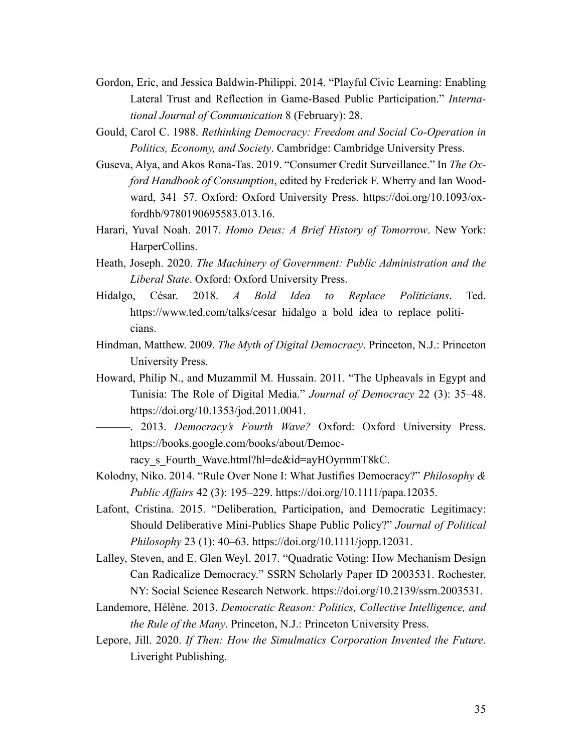- Gordon, Eric, and Jessica Baldwin-Philippi. 2014. "Playful Civic Learning: Enabling Lateral Trust and Reflection in Game-Based Public Participation." *International Journal of Communication* 8 (February): 28.
- Gould, Carol C. 1988. *Rethinking Democracy: Freedom and Social Co-Operation in Politics, Economy, and Society*. Cambridge: Cambridge University Press.
- Guseva, Alya, and Akos Rona-Tas. 2019. "Consumer Credit Surveillance." In *The Oxford Handbook of Consumption*, edited by Frederick F. Wherry and Ian Woodward, 341–57. Oxford: Oxford University Press. https://doi.org/10.1093/oxfordhb/9780190695583.013.16.
- Harari, Yuval Noah. 2017. *Homo Deus: A Brief History of Tomorrow*. New York: HarperCollins.
- Heath, Joseph. 2020. *The Machinery of Government: Public Administration and the Liberal State*. Oxford: Oxford University Press.
- Hidalgo, César. 2018. *A Bold Idea to Replace Politicians*. Ted. https://www.ted.com/talks/cesar\_hidalgo\_a\_bold\_idea\_to\_replace\_politicians.
- Hindman, Matthew. 2009. *The Myth of Digital Democracy*. Princeton, N.J.: Princeton University Press.
- Howard, Philip N., and Muzammil M. Hussain. 2011. "The Upheavals in Egypt and Tunisia: The Role of Digital Media." *Journal of Democracy* 22 (3): 35–48. https://doi.org/10.1353/jod.2011.0041.
- ———. 2013. *Democracy's Fourth Wave?* Oxford: Oxford University Press. https://books.google.com/books/about/Democ-

racy s Fourth Wave.html?hl=de&id=ayHOyrmmT8kC.

- Kolodny, Niko. 2014. "Rule Over None I: What Justifies Democracy?" *Philosophy & Public Affairs* 42 (3): 195–229. https://doi.org/10.1111/papa.12035.
- Lafont, Cristina. 2015. "Deliberation, Participation, and Democratic Legitimacy: Should Deliberative Mini-Publics Shape Public Policy?" *Journal of Political Philosophy* 23 (1): 40–63. https://doi.org/10.1111/jopp.12031.
- Lalley, Steven, and E. Glen Weyl. 2017. "Quadratic Voting: How Mechanism Design Can Radicalize Democracy." SSRN Scholarly Paper ID 2003531. Rochester, NY: Social Science Research Network. https://doi.org/10.2139/ssrn.2003531.
- Landemore, Hélène. 2013. *Democratic Reason: Politics, Collective Intelligence, and the Rule of the Many*. Princeton, N.J.: Princeton University Press.
- Lepore, Jill. 2020. *If Then: How the Simulmatics Corporation Invented the Future*. Liveright Publishing.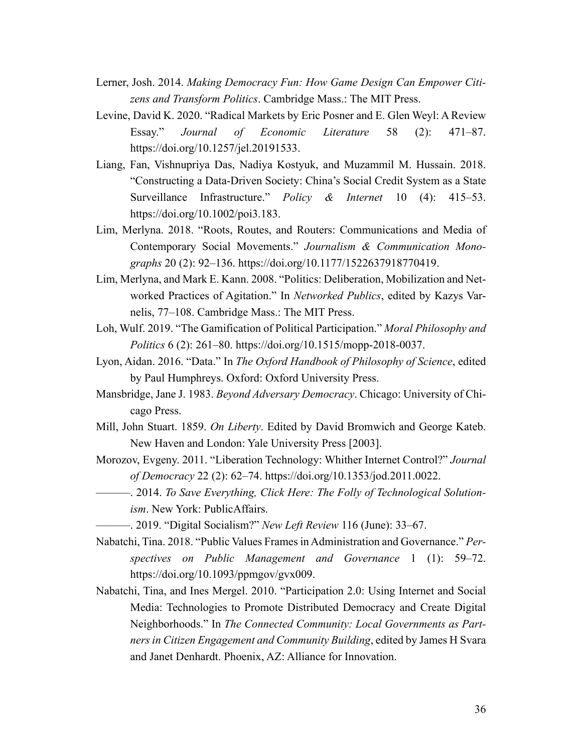- Lerner, Josh. 2014. *Making Democracy Fun: How Game Design Can Empower Citizens and Transform Politics*. Cambridge Mass.: The MIT Press.
- Levine, David K. 2020. "Radical Markets by Eric Posner and E. Glen Weyl: A Review Essay." *Journal of Economic Literature* 58 (2): 471–87. https://doi.org/10.1257/jel.20191533.
- Liang, Fan, Vishnupriya Das, Nadiya Kostyuk, and Muzammil M. Hussain. 2018. "Constructing a Data-Driven Society: China's Social Credit System as a State Surveillance Infrastructure." *Policy & Internet* 10 (4): 415–53. https://doi.org/10.1002/poi3.183.
- Lim, Merlyna. 2018. "Roots, Routes, and Routers: Communications and Media of Contemporary Social Movements." *Journalism & Communication Monographs* 20 (2): 92–136. https://doi.org/10.1177/1522637918770419.
- Lim, Merlyna, and Mark E. Kann. 2008. "Politics: Deliberation, Mobilization and Networked Practices of Agitation." In *Networked Publics*, edited by Kazys Varnelis, 77–108. Cambridge Mass.: The MIT Press.
- Loh, Wulf. 2019. "The Gamification of Political Participation." *Moral Philosophy and Politics* 6 (2): 261–80. https://doi.org/10.1515/mopp-2018-0037.
- Lyon, Aidan. 2016. "Data." In *The Oxford Handbook of Philosophy of Science*, edited by Paul Humphreys. Oxford: Oxford University Press.
- Mansbridge, Jane J. 1983. *Beyond Adversary Democracy*. Chicago: University of Chicago Press.
- Mill, John Stuart. 1859. *On Liberty*. Edited by David Bromwich and George Kateb. New Haven and London: Yale University Press [2003].
- Morozov, Evgeny. 2011. "Liberation Technology: Whither Internet Control?" *Journal of Democracy* 22 (2): 62–74. https://doi.org/10.1353/jod.2011.0022.
	- $-$ . 2014. To Save Everything, Click Here: The Folly of Technological Solution*ism*. New York: PublicAffairs.
- ———. 2019. "Digital Socialism?" *New Left Review* 116 (June): 33–67.
- Nabatchi, Tina. 2018. "Public Values Frames in Administration and Governance." *Perspectives on Public Management and Governance* 1 (1): 59–72. https://doi.org/10.1093/ppmgov/gvx009.
- Nabatchi, Tina, and Ines Mergel. 2010. "Participation 2.0: Using Internet and Social Media: Technologies to Promote Distributed Democracy and Create Digital Neighborhoods." In *The Connected Community: Local Governments as Partners in Citizen Engagement and Community Building*, edited by James H Svara and Janet Denhardt. Phoenix, AZ: Alliance for Innovation.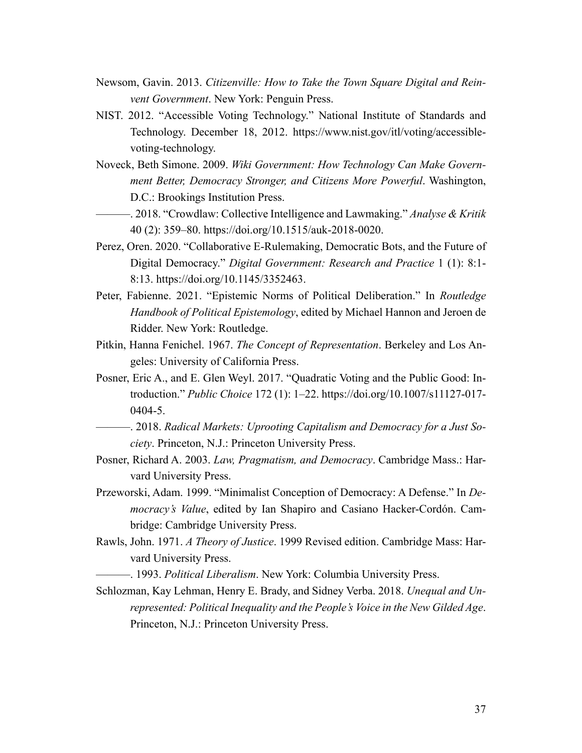- Newsom, Gavin. 2013. *Citizenville: How to Take the Town Square Digital and Reinvent Government*. New York: Penguin Press.
- NIST. 2012. "Accessible Voting Technology." National Institute of Standards and Technology. December 18, 2012. https://www.nist.gov/itl/voting/accessiblevoting-technology.
- Noveck, Beth Simone. 2009. *Wiki Government: How Technology Can Make Government Better, Democracy Stronger, and Citizens More Powerful*. Washington, D.C.: Brookings Institution Press.
- ———. 2018. "Crowdlaw: Collective Intelligence and Lawmaking." *Analyse & Kritik* 40 (2): 359–80. https://doi.org/10.1515/auk-2018-0020.
- Perez, Oren. 2020. "Collaborative Е-Rulemaking, Democratic Bots, and the Future of Digital Democracy." *Digital Government: Research and Practice* 1 (1): 8:1- 8:13. https://doi.org/10.1145/3352463.
- Peter, Fabienne. 2021. "Epistemic Norms of Political Deliberation." In *Routledge Handbook of Political Epistemology*, edited by Michael Hannon and Jeroen de Ridder. New York: Routledge.
- Pitkin, Hanna Fenichel. 1967. *The Concept of Representation*. Berkeley and Los Angeles: University of California Press.
- Posner, Eric A., and E. Glen Weyl. 2017. "Quadratic Voting and the Public Good: Introduction." *Public Choice* 172 (1): 1–22. https://doi.org/10.1007/s11127-017- 0404-5.
- -. 2018. Radical Markets: Uprooting Capitalism and Democracy for a Just So*ciety*. Princeton, N.J.: Princeton University Press.
- Posner, Richard A. 2003. *Law, Pragmatism, and Democracy*. Cambridge Mass.: Harvard University Press.
- Przeworski, Adam. 1999. "Minimalist Conception of Democracy: A Defense." In *Democracy's Value*, edited by Ian Shapiro and Casiano Hacker-Cordón. Cambridge: Cambridge University Press.
- Rawls, John. 1971. *A Theory of Justice*. 1999 Revised edition. Cambridge Mass: Harvard University Press.
	- ———. 1993. *Political Liberalism*. New York: Columbia University Press.
- Schlozman, Kay Lehman, Henry E. Brady, and Sidney Verba. 2018. *Unequal and Unrepresented: Political Inequality and the People's Voice in the New Gilded Age*. Princeton, N.J.: Princeton University Press.